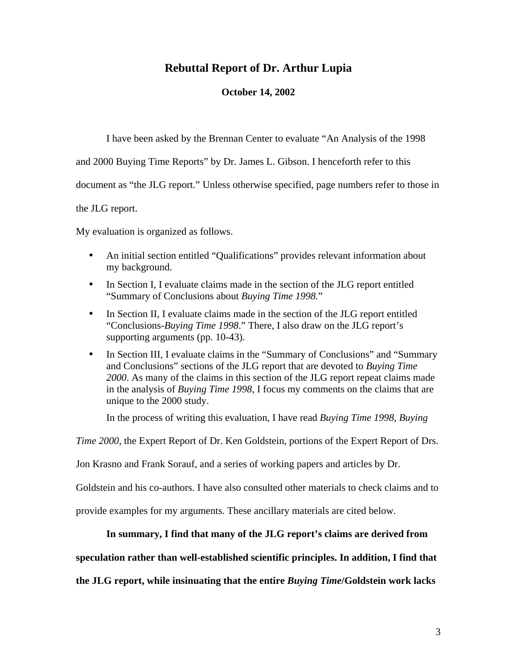## **Rebuttal Report of Dr. Arthur Lupia**

### **October 14, 2002**

I have been asked by the Brennan Center to evaluate "An Analysis of the 1998

and 2000 Buying Time Reports" by Dr. James L. Gibson. I henceforth refer to this

document as "the JLG report." Unless otherwise specified, page numbers refer to those in

the JLG report.

My evaluation is organized as follows.

- An initial section entitled "Qualifications" provides relevant information about my background.
- In Section I, I evaluate claims made in the section of the JLG report entitled "Summary of Conclusions about *Buying Time 1998.*"
- In Section II, I evaluate claims made in the section of the JLG report entitled "Conclusions-*Buying Time 1998*." There, I also draw on the JLG report's supporting arguments (pp. 10-43).
- In Section III, I evaluate claims in the "Summary of Conclusions" and "Summary and Conclusions" sections of the JLG report that are devoted to *Buying Time 2000*. As many of the claims in this section of the JLG report repeat claims made in the analysis of *Buying Time 1998*, I focus my comments on the claims that are unique to the 2000 study.

In the process of writing this evaluation, I have read *Buying Time 1998*, *Buying* 

*Time 2000*, the Expert Report of Dr. Ken Goldstein, portions of the Expert Report of Drs.

Jon Krasno and Frank Sorauf, and a series of working papers and articles by Dr.

Goldstein and his co-authors. I have also consulted other materials to check claims and to

provide examples for my arguments. These ancillary materials are cited below.

### **In summary, I find that many of the JLG report's claims are derived from**

### **speculation rather than well-established scientific principles. In addition, I find that**

**the JLG report, while insinuating that the entire** *Buying Time***/Goldstein work lacks**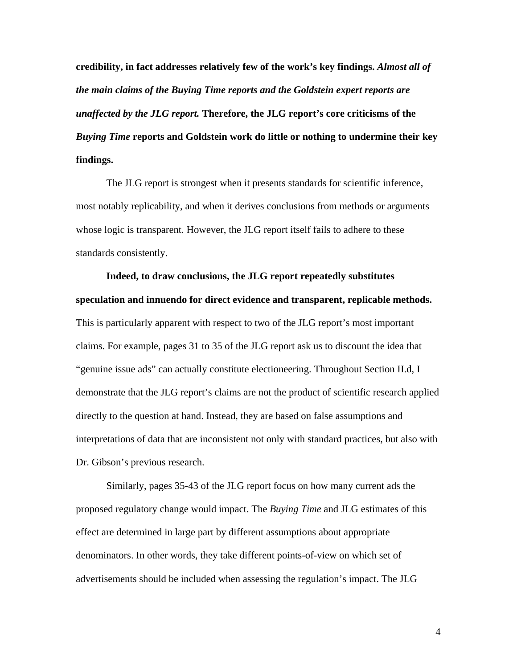**credibility, in fact addresses relatively few of the work's key findings.** *Almost all of the main claims of the Buying Time reports and the Goldstein expert reports are unaffected by the JLG report.* **Therefore, the JLG report's core criticisms of the**  *Buying Time* **reports and Goldstein work do little or nothing to undermine their key findings.** 

The JLG report is strongest when it presents standards for scientific inference, most notably replicability, and when it derives conclusions from methods or arguments whose logic is transparent. However, the JLG report itself fails to adhere to these standards consistently.

**Indeed, to draw conclusions, the JLG report repeatedly substitutes speculation and innuendo for direct evidence and transparent, replicable methods.**  This is particularly apparent with respect to two of the JLG report's most important claims. For example, pages 31 to 35 of the JLG report ask us to discount the idea that "genuine issue ads" can actually constitute electioneering. Throughout Section II.d, I demonstrate that the JLG report's claims are not the product of scientific research applied directly to the question at hand. Instead, they are based on false assumptions and interpretations of data that are inconsistent not only with standard practices, but also with Dr. Gibson's previous research.

Similarly, pages 35-43 of the JLG report focus on how many current ads the proposed regulatory change would impact. The *Buying Time* and JLG estimates of this effect are determined in large part by different assumptions about appropriate denominators. In other words, they take different points-of-view on which set of advertisements should be included when assessing the regulation's impact. The JLG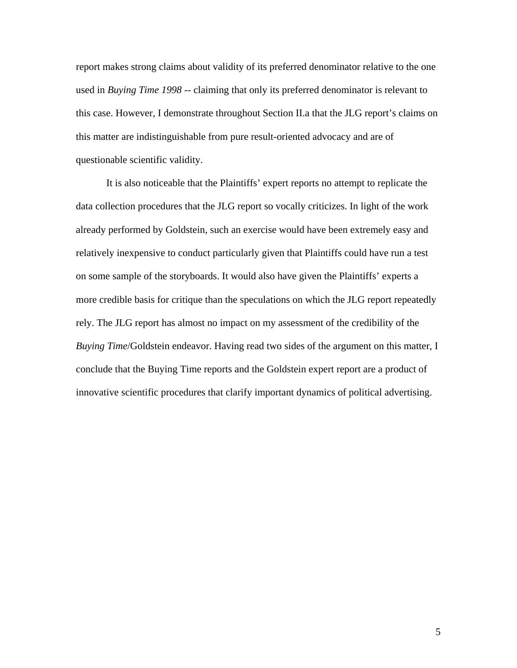report makes strong claims about validity of its preferred denominator relative to the one used in *Buying Time 1998* -- claiming that only its preferred denominator is relevant to this case. However, I demonstrate throughout Section II.a that the JLG report's claims on this matter are indistinguishable from pure result-oriented advocacy and are of questionable scientific validity.

It is also noticeable that the Plaintiffs' expert reports no attempt to replicate the data collection procedures that the JLG report so vocally criticizes. In light of the work already performed by Goldstein, such an exercise would have been extremely easy and relatively inexpensive to conduct particularly given that Plaintiffs could have run a test on some sample of the storyboards. It would also have given the Plaintiffs' experts a more credible basis for critique than the speculations on which the JLG report repeatedly rely. The JLG report has almost no impact on my assessment of the credibility of the *Buying Time*/Goldstein endeavor. Having read two sides of the argument on this matter, I conclude that the Buying Time reports and the Goldstein expert report are a product of innovative scientific procedures that clarify important dynamics of political advertising.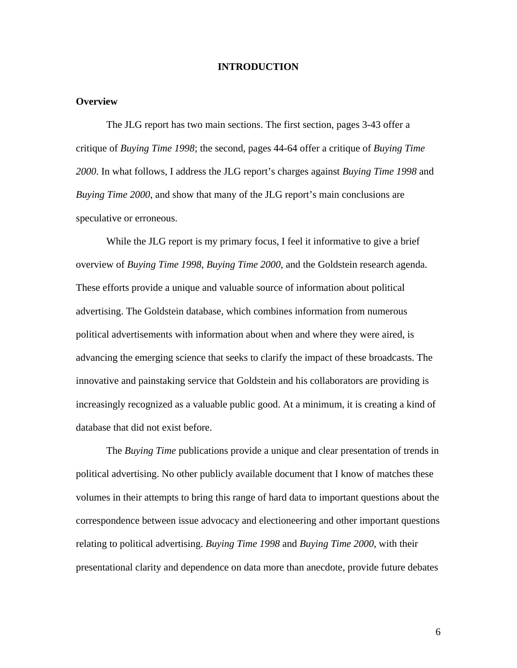#### **INTRODUCTION**

### **Overview**

The JLG report has two main sections. The first section, pages 3-43 offer a critique of *Buying Time 1998*; the second, pages 44-64 offer a critique of *Buying Time 2000*. In what follows, I address the JLG report's charges against *Buying Time 1998* and *Buying Time 2000*, and show that many of the JLG report's main conclusions are speculative or erroneous.

While the JLG report is my primary focus, I feel it informative to give a brief overview of *Buying Time 1998*, *Buying Time 2000*, and the Goldstein research agenda. These efforts provide a unique and valuable source of information about political advertising. The Goldstein database, which combines information from numerous political advertisements with information about when and where they were aired, is advancing the emerging science that seeks to clarify the impact of these broadcasts. The innovative and painstaking service that Goldstein and his collaborators are providing is increasingly recognized as a valuable public good. At a minimum, it is creating a kind of database that did not exist before.

The *Buying Time* publications provide a unique and clear presentation of trends in political advertising. No other publicly available document that I know of matches these volumes in their attempts to bring this range of hard data to important questions about the correspondence between issue advocacy and electioneering and other important questions relating to political advertising. *Buying Time 1998* and *Buying Time 2000*, with their presentational clarity and dependence on data more than anecdote, provide future debates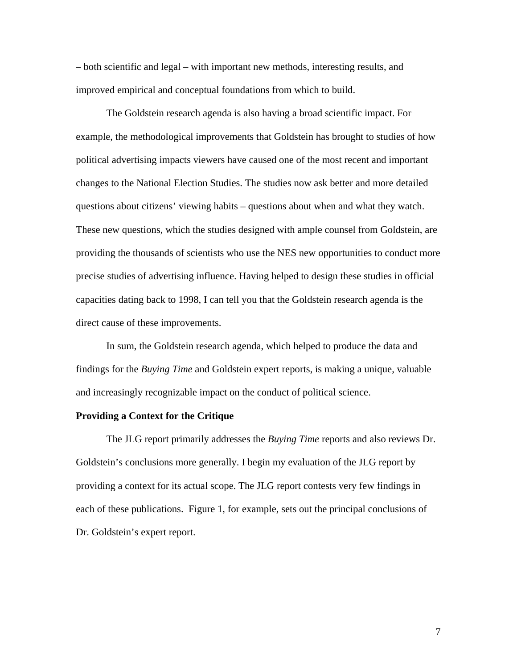– both scientific and legal – with important new methods, interesting results, and improved empirical and conceptual foundations from which to build.

The Goldstein research agenda is also having a broad scientific impact. For example, the methodological improvements that Goldstein has brought to studies of how political advertising impacts viewers have caused one of the most recent and important changes to the National Election Studies. The studies now ask better and more detailed questions about citizens' viewing habits – questions about when and what they watch. These new questions, which the studies designed with ample counsel from Goldstein, are providing the thousands of scientists who use the NES new opportunities to conduct more precise studies of advertising influence. Having helped to design these studies in official capacities dating back to 1998, I can tell you that the Goldstein research agenda is the direct cause of these improvements.

In sum, the Goldstein research agenda, which helped to produce the data and findings for the *Buying Time* and Goldstein expert reports, is making a unique, valuable and increasingly recognizable impact on the conduct of political science.

### **Providing a Context for the Critique**

The JLG report primarily addresses the *Buying Time* reports and also reviews Dr. Goldstein's conclusions more generally. I begin my evaluation of the JLG report by providing a context for its actual scope. The JLG report contests very few findings in each of these publications. Figure 1, for example, sets out the principal conclusions of Dr. Goldstein's expert report.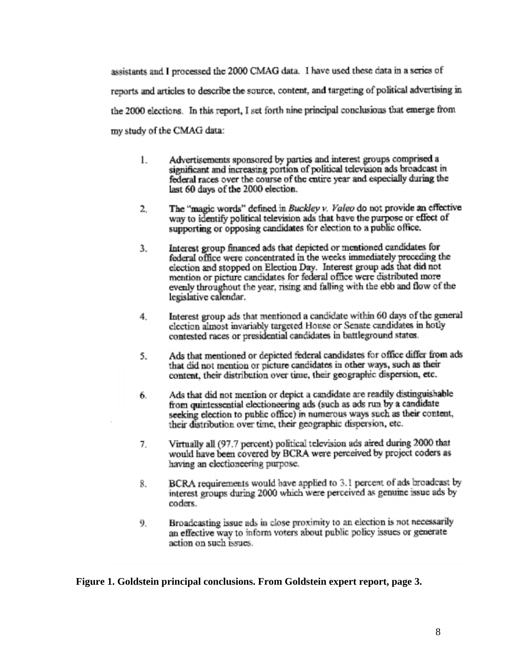assistants and I processed the 2000 CMAG data. I have used these data in a series of reports and articles to describe the source, content, and targeting of political advertising in the 2000 elections. In this report, I set forth nine principal conclusions that emerge from my study of the CMAG data:

- Advertisements sponsored by parties and interest groups comprised a  $\mathbf{1}$ . significant and increasing portion of political television ads broadcast in federal races over the course of the entire year and especially during the last 60 days of the 2000 election.
- The "magic words" defined in Buckley v. Valeo do not provide an effective 2. way to identify political television ads that have the purpose or effect of supporting or opposing candidates for election to a public office.
- Interest group financed ads that depicted or mentioned candidates for 3. federal office were concentrated in the weeks immediately preceding the election and stopped on Election Day. Interest group ads that did not mention or picture candidates for federal office were distributed more evenly throughout the year, rising and falling with the ebb and flow of the legislative calendar.
- Interest group ads that mentioned a candidate within 60 days of the general  $4.$ election almost invariably targeted House or Senate candidates in hotly contested races or presidential candidates in battleground states.
- Ads that mentioned or depicted federal candidates for office differ from ads 5. that did not mention or picture candidates in other ways, such as their content, their distribution over time, their geographic dispersion, etc.
- Ads that did not mention or depict a candidate are readily distinguishable 6. from quintessential electioneering ads (such as ads run by a candidate seeking election to public office) in numerous ways such as their content, their distribution over time, their geographic dispersion, etc.
- Virtually all (97.7 percent) political television ads aired during 2000 that 7. would have been covered by BCRA were perceived by project coders as having an electioneering purpose.
- BCRA requirements would have applied to 3.1 percent of ads broadcast by 8. interest groups during 2000 which were perceived as genuine issue ads by coders.
- Broadcasting issue ads in close proximity to an election is not necessarily 9. an effective way to inform voters about public policy issues or generate action on such issues.

**Figure 1. Goldstein principal conclusions. From Goldstein expert report, page 3.**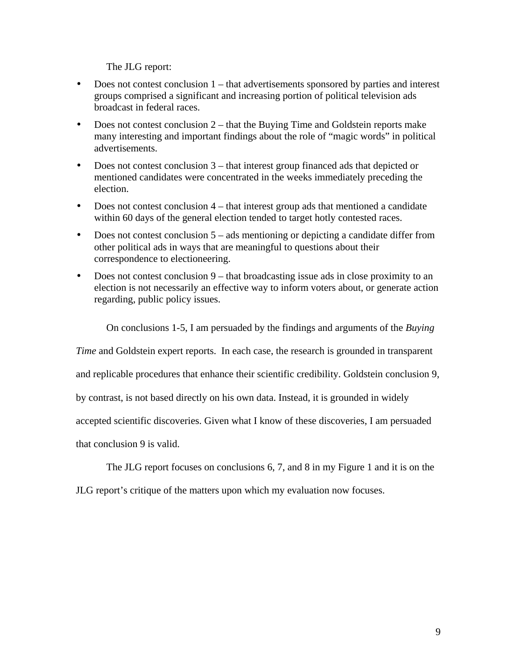The JLG report:

- Does not contest conclusion 1 that advertisements sponsored by parties and interest groups comprised a significant and increasing portion of political television ads broadcast in federal races.
- Does not contest conclusion 2 that the Buying Time and Goldstein reports make many interesting and important findings about the role of "magic words" in political advertisements.
- Does not contest conclusion 3 that interest group financed ads that depicted or mentioned candidates were concentrated in the weeks immediately preceding the election.
- Does not contest conclusion  $4$  that interest group ads that mentioned a candidate within 60 days of the general election tended to target hotly contested races.
- Does not contest conclusion  $5 ads$  mentioning or depicting a candidate differ from other political ads in ways that are meaningful to questions about their correspondence to electioneering.
- Does not contest conclusion 9 that broadcasting issue ads in close proximity to an election is not necessarily an effective way to inform voters about, or generate action regarding, public policy issues.

On conclusions 1-5, I am persuaded by the findings and arguments of the *Buying* 

*Time* and Goldstein expert reports. In each case, the research is grounded in transparent

and replicable procedures that enhance their scientific credibility. Goldstein conclusion 9,

by contrast, is not based directly on his own data. Instead, it is grounded in widely

accepted scientific discoveries. Given what I know of these discoveries, I am persuaded

that conclusion 9 is valid.

The JLG report focuses on conclusions 6, 7, and 8 in my Figure 1 and it is on the

JLG report's critique of the matters upon which my evaluation now focuses.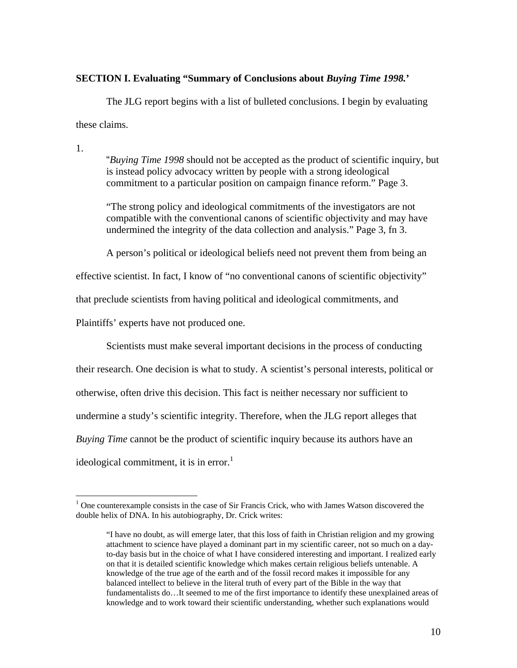### <span id="page-7-0"></span>**SECTION I. Evaluating "Summary of Conclusions about** *Buying Time 1998.***'**

The JLG report begins with a list of bulleted conclusions. I begin by evaluating these claims.

1.

 $\overline{a}$ 

"*Buying Time 1998* should not be accepted as the product of scientific inquiry, but is instead policy advocacy written by people with a strong ideological commitment to a particular position on campaign finance reform." Page 3.

"The strong policy and ideological commitments of the investigators are not compatible with the conventional canons of scientific objectivity and may have undermined the integrity of the data collection and analysis." Page 3, fn 3.

A person's political or ideological beliefs need not prevent them from being an

effective scientist. In fact, I know of "no conventional canons of scientific objectivity"

that preclude scientists from having political and ideological commitments, and

Plaintiffs' experts have not produced one.

Scientists must make several important decisions in the process of conducting

their research. One decision is what to study. A scientist's personal interests, political or otherwise, often drive this decision. This fact is neither necessary nor sufficient to undermine a study's scientific integrity. Therefore, when the JLG report alleges that *Buying Time* cannot be the product of scientific inquiry because its authors have an

ideological commitment, it is in error.<sup>[1](#page-7-0)</sup>

 $1$  One counterexample consists in the case of Sir Francis Crick, who with James Watson discovered the double helix of DNA. In his autobiography, Dr. Crick writes:

<sup>&</sup>quot;I have no doubt, as will emerge later, that this loss of faith in Christian religion and my growing attachment to science have played a dominant part in my scientific career, not so much on a dayto-day basis but in the choice of what I have considered interesting and important. I realized early on that it is detailed scientific knowledge which makes certain religious beliefs untenable. A knowledge of the true age of the earth and of the fossil record makes it impossible for any balanced intellect to believe in the literal truth of every part of the Bible in the way that fundamentalists do…It seemed to me of the first importance to identify these unexplained areas of knowledge and to work toward their scientific understanding, whether such explanations would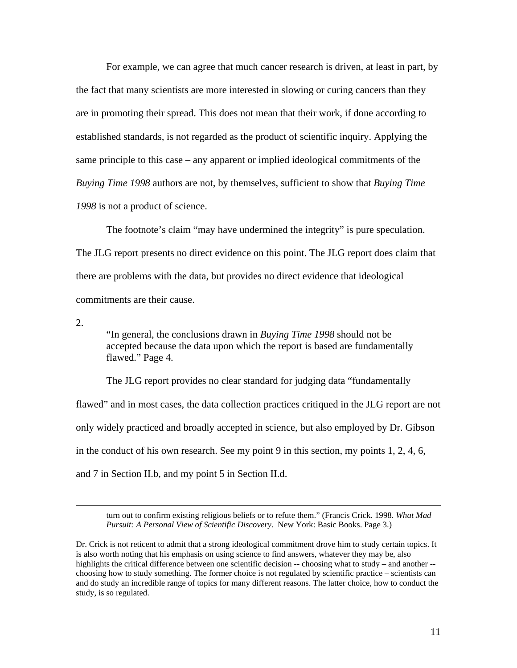For example, we can agree that much cancer research is driven, at least in part, by the fact that many scientists are more interested in slowing or curing cancers than they are in promoting their spread. This does not mean that their work, if done according to established standards, is not regarded as the product of scientific inquiry. Applying the same principle to this case – any apparent or implied ideological commitments of the *Buying Time 1998* authors are not, by themselves, sufficient to show that *Buying Time 1998* is not a product of science.

The footnote's claim "may have undermined the integrity" is pure speculation. The JLG report presents no direct evidence on this point. The JLG report does claim that there are problems with the data, but provides no direct evidence that ideological commitments are their cause.

2.

"In general, the conclusions drawn in *Buying Time 1998* should not be accepted because the data upon which the report is based are fundamentally flawed." Page 4.

The JLG report provides no clear standard for judging data "fundamentally flawed" and in most cases, the data collection practices critiqued in the JLG report are not only widely practiced and broadly accepted in science, but also employed by Dr. Gibson in the conduct of his own research. See my point 9 in this section, my points 1, 2, 4, 6, and 7 in Section II.b, and my point 5 in Section II.d.

turn out to confirm existing religious beliefs or to refute them." (Francis Crick. 1998. *What Mad Pursuit: A Personal View of Scientific Discovery*. New York: Basic Books. Page 3.)

Dr. Crick is not reticent to admit that a strong ideological commitment drove him to study certain topics. It is also worth noting that his emphasis on using science to find answers, whatever they may be, also highlights the critical difference between one scientific decision -- choosing what to study – and another -choosing how to study something. The former choice is not regulated by scientific practice – scientists can and do study an incredible range of topics for many different reasons. The latter choice, how to conduct the study, is so regulated.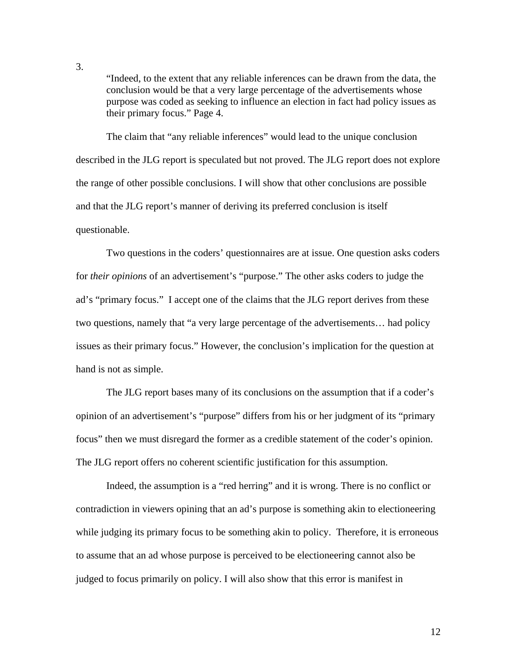"Indeed, to the extent that any reliable inferences can be drawn from the data, the conclusion would be that a very large percentage of the advertisements whose purpose was coded as seeking to influence an election in fact had policy issues as their primary focus." Page 4.

The claim that "any reliable inferences" would lead to the unique conclusion described in the JLG report is speculated but not proved. The JLG report does not explore the range of other possible conclusions. I will show that other conclusions are possible and that the JLG report's manner of deriving its preferred conclusion is itself questionable.

Two questions in the coders' questionnaires are at issue. One question asks coders for *their opinions* of an advertisement's "purpose." The other asks coders to judge the ad's "primary focus." I accept one of the claims that the JLG report derives from these two questions, namely that "a very large percentage of the advertisements… had policy issues as their primary focus." However, the conclusion's implication for the question at hand is not as simple.

The JLG report bases many of its conclusions on the assumption that if a coder's opinion of an advertisement's "purpose" differs from his or her judgment of its "primary focus" then we must disregard the former as a credible statement of the coder's opinion. The JLG report offers no coherent scientific justification for this assumption.

Indeed, the assumption is a "red herring" and it is wrong. There is no conflict or contradiction in viewers opining that an ad's purpose is something akin to electioneering while judging its primary focus to be something akin to policy. Therefore, it is erroneous to assume that an ad whose purpose is perceived to be electioneering cannot also be judged to focus primarily on policy. I will also show that this error is manifest in

3.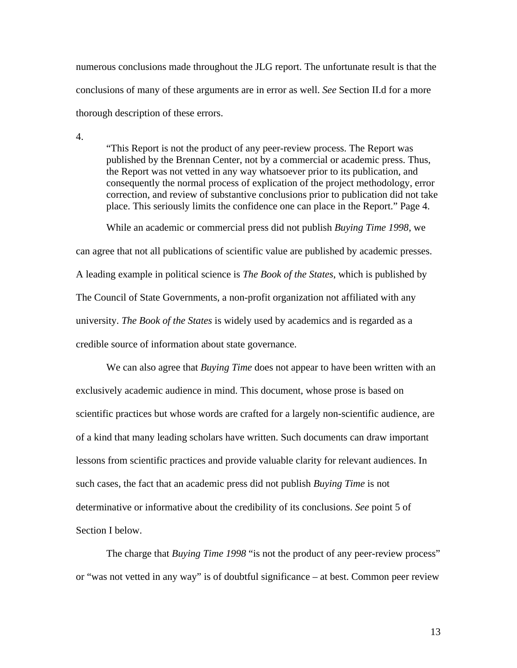numerous conclusions made throughout the JLG report. The unfortunate result is that the conclusions of many of these arguments are in error as well. *See* Section II.d for a more thorough description of these errors.

4.

"This Report is not the product of any peer-review process. The Report was published by the Brennan Center, not by a commercial or academic press. Thus, the Report was not vetted in any way whatsoever prior to its publication, and consequently the normal process of explication of the project methodology, error correction, and review of substantive conclusions prior to publication did not take place. This seriously limits the confidence one can place in the Report." Page 4.

While an academic or commercial press did not publish *Buying Time 1998*, we can agree that not all publications of scientific value are published by academic presses. A leading example in political science is *The Book of the States*, which is published by The Council of State Governments, a non-profit organization not affiliated with any university. *The Book of the States* is widely used by academics and is regarded as a credible source of information about state governance.

We can also agree that *Buying Time* does not appear to have been written with an exclusively academic audience in mind. This document, whose prose is based on scientific practices but whose words are crafted for a largely non-scientific audience, are of a kind that many leading scholars have written. Such documents can draw important lessons from scientific practices and provide valuable clarity for relevant audiences. In such cases, the fact that an academic press did not publish *Buying Time* is not determinative or informative about the credibility of its conclusions. *See* point 5 of Section I below.

The charge that *Buying Time 1998* "is not the product of any peer-review process" or "was not vetted in any way" is of doubtful significance – at best. Common peer review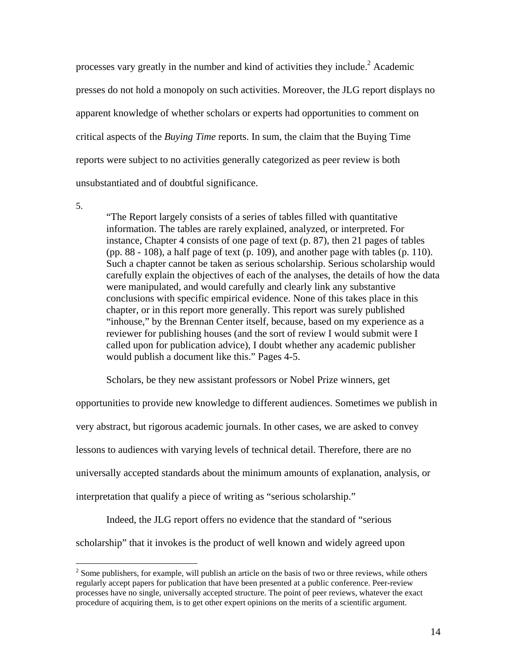processes vary greatly in the number and kind of activities they include.<sup>[2](#page-11-0)</sup> Academic presses do not hold a monopoly on such activities. Moreover, the JLG report displays no apparent knowledge of whether scholars or experts had opportunities to comment on critical aspects of the *Buying Time* reports. In sum, the claim that the Buying Time reports were subject to no activities generally categorized as peer review is both unsubstantiated and of doubtful significance.

5.

 $\overline{a}$ 

"The Report largely consists of a series of tables filled with quantitative information. The tables are rarely explained, analyzed, or interpreted. For instance, Chapter 4 consists of one page of text (p. 87), then 21 pages of tables (pp. 88 - 108), a half page of text (p. 109), and another page with tables (p. 110). Such a chapter cannot be taken as serious scholarship. Serious scholarship would carefully explain the objectives of each of the analyses, the details of how the data were manipulated, and would carefully and clearly link any substantive conclusions with specific empirical evidence. None of this takes place in this chapter, or in this report more generally. This report was surely published "inhouse," by the Brennan Center itself, because, based on my experience as a reviewer for publishing houses (and the sort of review I would submit were I called upon for publication advice), I doubt whether any academic publisher would publish a document like this." Pages 4-5.

Scholars, be they new assistant professors or Nobel Prize winners, get

opportunities to provide new knowledge to different audiences. Sometimes we publish in very abstract, but rigorous academic journals. In other cases, we are asked to convey lessons to audiences with varying levels of technical detail. Therefore, there are no universally accepted standards about the minimum amounts of explanation, analysis, or interpretation that qualify a piece of writing as "serious scholarship."

Indeed, the JLG report offers no evidence that the standard of "serious

scholarship" that it invokes is the product of well known and widely agreed upon

<span id="page-11-0"></span> $2^{2}$  Some publishers, for example, will publish an article on the basis of two or three reviews, while others regularly accept papers for publication that have been presented at a public conference. Peer-review processes have no single, universally accepted structure. The point of peer reviews, whatever the exact procedure of acquiring them, is to get other expert opinions on the merits of a scientific argument.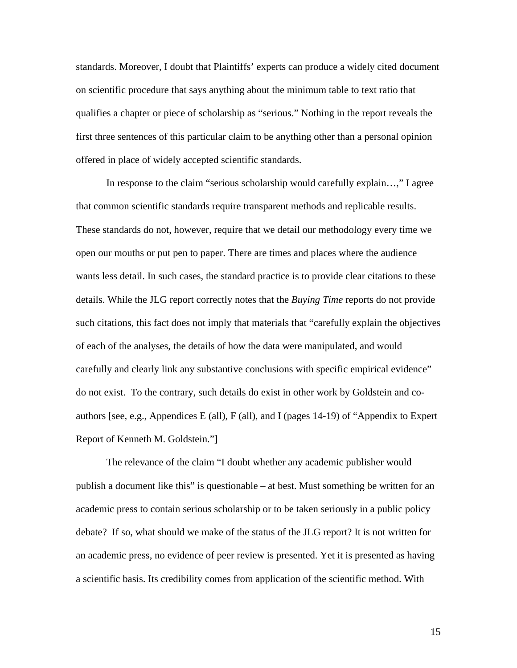standards. Moreover, I doubt that Plaintiffs' experts can produce a widely cited document on scientific procedure that says anything about the minimum table to text ratio that qualifies a chapter or piece of scholarship as "serious." Nothing in the report reveals the first three sentences of this particular claim to be anything other than a personal opinion offered in place of widely accepted scientific standards.

In response to the claim "serious scholarship would carefully explain…," I agree that common scientific standards require transparent methods and replicable results. These standards do not, however, require that we detail our methodology every time we open our mouths or put pen to paper. There are times and places where the audience wants less detail. In such cases, the standard practice is to provide clear citations to these details. While the JLG report correctly notes that the *Buying Time* reports do not provide such citations, this fact does not imply that materials that "carefully explain the objectives of each of the analyses, the details of how the data were manipulated, and would carefully and clearly link any substantive conclusions with specific empirical evidence" do not exist. To the contrary, such details do exist in other work by Goldstein and coauthors [see, e.g., Appendices E (all), F (all), and I (pages 14-19) of "Appendix to Expert Report of Kenneth M. Goldstein."]

The relevance of the claim "I doubt whether any academic publisher would publish a document like this" is questionable – at best. Must something be written for an academic press to contain serious scholarship or to be taken seriously in a public policy debate? If so, what should we make of the status of the JLG report? It is not written for an academic press, no evidence of peer review is presented. Yet it is presented as having a scientific basis. Its credibility comes from application of the scientific method. With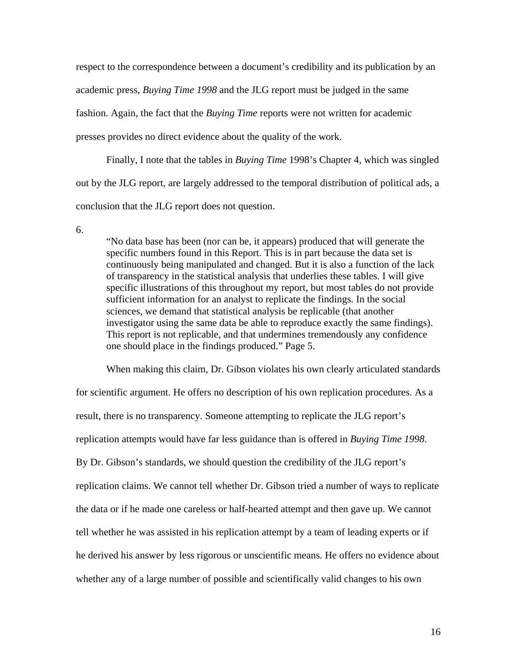respect to the correspondence between a document's credibility and its publication by an academic press, *Buying Time 1998* and the JLG report must be judged in the same fashion. Again, the fact that the *Buying Time* reports were not written for academic presses provides no direct evidence about the quality of the work.

Finally, I note that the tables in *Buying Time* 1998's Chapter 4, which was singled out by the JLG report, are largely addressed to the temporal distribution of political ads, a conclusion that the JLG report does not question.

6.

"No data base has been (nor can be, it appears) produced that will generate the specific numbers found in this Report. This is in part because the data set is continuously being manipulated and changed. But it is also a function of the lack of transparency in the statistical analysis that underlies these tables. I will give specific illustrations of this throughout my report, but most tables do not provide sufficient information for an analyst to replicate the findings. In the social sciences, we demand that statistical analysis be replicable (that another investigator using the same data be able to reproduce exactly the same findings). This report is not replicable, and that undermines tremendously any confidence one should place in the findings produced." Page 5.

When making this claim, Dr. Gibson violates his own clearly articulated standards for scientific argument. He offers no description of his own replication procedures. As a result, there is no transparency. Someone attempting to replicate the JLG report's replication attempts would have far less guidance than is offered in *Buying Time 1998*. By Dr. Gibson's standards, we should question the credibility of the JLG report's replication claims. We cannot tell whether Dr. Gibson tried a number of ways to replicate the data or if he made one careless or half-hearted attempt and then gave up. We cannot tell whether he was assisted in his replication attempt by a team of leading experts or if he derived his answer by less rigorous or unscientific means. He offers no evidence about whether any of a large number of possible and scientifically valid changes to his own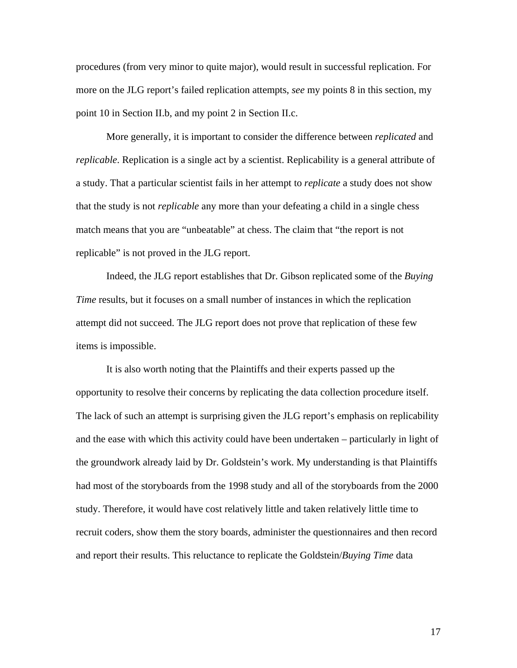procedures (from very minor to quite major), would result in successful replication. For more on the JLG report's failed replication attempts, *see* my points 8 in this section, my point 10 in Section II.b, and my point 2 in Section II.c.

More generally, it is important to consider the difference between *replicated* and *replicable*. Replication is a single act by a scientist. Replicability is a general attribute of a study. That a particular scientist fails in her attempt to *replicate* a study does not show that the study is not *replicable* any more than your defeating a child in a single chess match means that you are "unbeatable" at chess. The claim that "the report is not replicable" is not proved in the JLG report.

Indeed, the JLG report establishes that Dr. Gibson replicated some of the *Buying Time* results, but it focuses on a small number of instances in which the replication attempt did not succeed. The JLG report does not prove that replication of these few items is impossible.

It is also worth noting that the Plaintiffs and their experts passed up the opportunity to resolve their concerns by replicating the data collection procedure itself. The lack of such an attempt is surprising given the JLG report's emphasis on replicability and the ease with which this activity could have been undertaken – particularly in light of the groundwork already laid by Dr. Goldstein's work. My understanding is that Plaintiffs had most of the storyboards from the 1998 study and all of the storyboards from the 2000 study. Therefore, it would have cost relatively little and taken relatively little time to recruit coders, show them the story boards, administer the questionnaires and then record and report their results. This reluctance to replicate the Goldstein/*Buying Time* data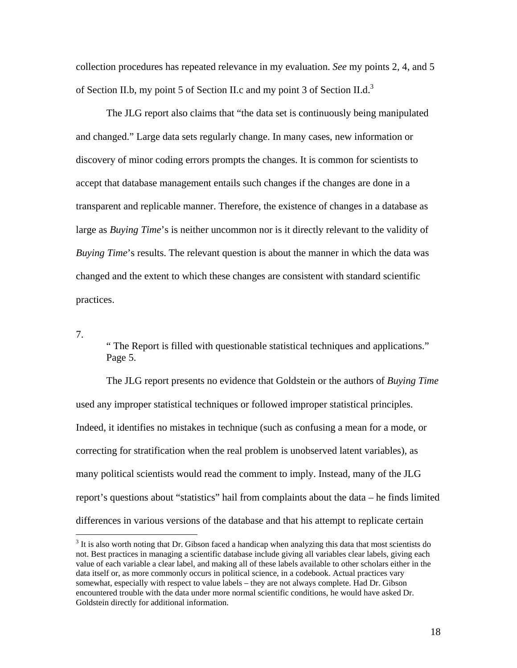collection procedures has repeated relevance in my evaluation. *See* my points 2, 4, and 5 of Section II.b, my point 5 of Section II.c and my point [3](#page-15-0) of Section II.d.<sup>3</sup>

The JLG report also claims that "the data set is continuously being manipulated and changed." Large data sets regularly change. In many cases, new information or discovery of minor coding errors prompts the changes. It is common for scientists to accept that database management entails such changes if the changes are done in a transparent and replicable manner. Therefore, the existence of changes in a database as large as *Buying Time*'s is neither uncommon nor is it directly relevant to the validity of *Buying Time*'s results. The relevant question is about the manner in which the data was changed and the extent to which these changes are consistent with standard scientific practices.

7.

 $\overline{a}$ 

" The Report is filled with questionable statistical techniques and applications." Page 5.

The JLG report presents no evidence that Goldstein or the authors of *Buying Time* used any improper statistical techniques or followed improper statistical principles. Indeed, it identifies no mistakes in technique (such as confusing a mean for a mode, or correcting for stratification when the real problem is unobserved latent variables), as many political scientists would read the comment to imply. Instead, many of the JLG report's questions about "statistics" hail from complaints about the data – he finds limited differences in various versions of the database and that his attempt to replicate certain

<span id="page-15-0"></span> $3$  It is also worth noting that Dr. Gibson faced a handicap when analyzing this data that most scientists do not. Best practices in managing a scientific database include giving all variables clear labels, giving each value of each variable a clear label, and making all of these labels available to other scholars either in the data itself or, as more commonly occurs in political science, in a codebook. Actual practices vary somewhat, especially with respect to value labels – they are not always complete. Had Dr. Gibson encountered trouble with the data under more normal scientific conditions, he would have asked Dr. Goldstein directly for additional information.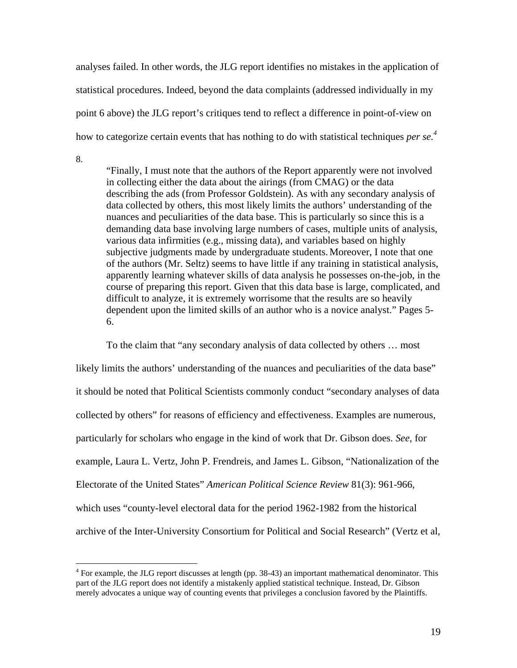analyses failed. In other words, the JLG report identifies no mistakes in the application of statistical procedures. Indeed, beyond the data complaints (addressed individually in my point 6 above) the JLG report's critiques tend to reflect a difference in point-of-view on how to categorize certain events that has nothing to do with statistical techniques *per se. [4](#page-16-0)*

8.

<u>.</u>

"Finally, I must note that the authors of the Report apparently were not involved in collecting either the data about the airings (from CMAG) or the data describing the ads (from Professor Goldstein). As with any secondary analysis of data collected by others, this most likely limits the authors' understanding of the nuances and peculiarities of the data base. This is particularly so since this is a demanding data base involving large numbers of cases, multiple units of analysis, various data infirmities (e.g., missing data), and variables based on highly subjective judgments made by undergraduate students.Moreover, I note that one of the authors (Mr. Seltz) seems to have little if any training in statistical analysis, apparently learning whatever skills of data analysis he possesses on-the-job, in the course of preparing this report. Given that this data base is large, complicated, and difficult to analyze, it is extremely worrisome that the results are so heavily dependent upon the limited skills of an author who is a novice analyst." Pages 5- 6.

To the claim that "any secondary analysis of data collected by others … most likely limits the authors' understanding of the nuances and peculiarities of the data base" it should be noted that Political Scientists commonly conduct "secondary analyses of data collected by others" for reasons of efficiency and effectiveness. Examples are numerous, particularly for scholars who engage in the kind of work that Dr. Gibson does. *See*, for example, Laura L. Vertz, John P. Frendreis, and James L. Gibson, "Nationalization of the Electorate of the United States" *American Political Science Review* 81(3): 961-966, which uses "county-level electoral data for the period 1962-1982 from the historical archive of the Inter-University Consortium for Political and Social Research" (Vertz et al,

<span id="page-16-0"></span> $4$  For example, the JLG report discusses at length (pp. 38-43) an important mathematical denominator. This part of the JLG report does not identify a mistakenly applied statistical technique. Instead, Dr. Gibson merely advocates a unique way of counting events that privileges a conclusion favored by the Plaintiffs.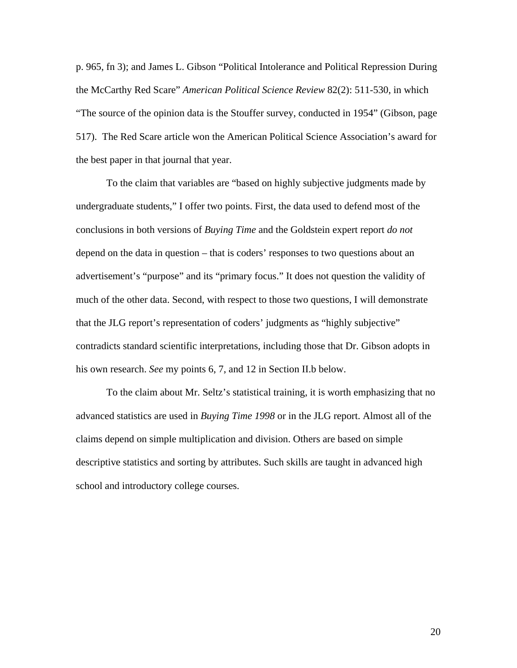p. 965, fn 3); and James L. Gibson "Political Intolerance and Political Repression During the McCarthy Red Scare" *American Political Science Review* 82(2): 511-530, in which "The source of the opinion data is the Stouffer survey, conducted in 1954" (Gibson, page 517). The Red Scare article won the American Political Science Association's award for the best paper in that journal that year.

To the claim that variables are "based on highly subjective judgments made by undergraduate students," I offer two points. First, the data used to defend most of the conclusions in both versions of *Buying Time* and the Goldstein expert report *do not* depend on the data in question – that is coders' responses to two questions about an advertisement's "purpose" and its "primary focus." It does not question the validity of much of the other data. Second, with respect to those two questions, I will demonstrate that the JLG report's representation of coders' judgments as "highly subjective" contradicts standard scientific interpretations, including those that Dr. Gibson adopts in his own research. *See* my points 6, 7, and 12 in Section II.b below.

To the claim about Mr. Seltz's statistical training, it is worth emphasizing that no advanced statistics are used in *Buying Time 1998* or in the JLG report. Almost all of the claims depend on simple multiplication and division. Others are based on simple descriptive statistics and sorting by attributes. Such skills are taught in advanced high school and introductory college courses.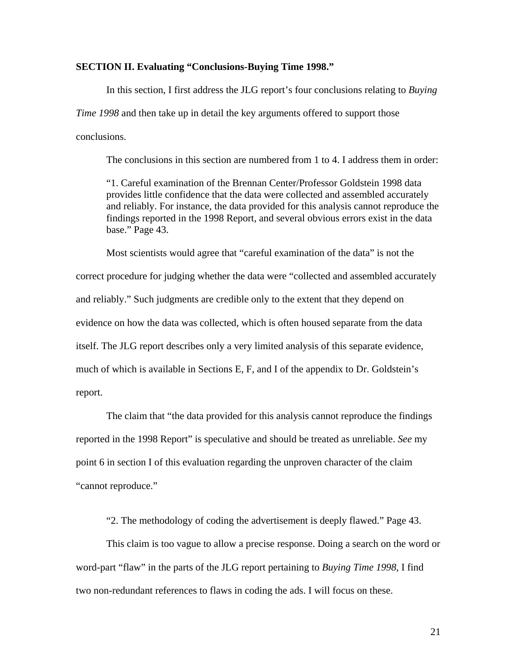#### **SECTION II. Evaluating "Conclusions-Buying Time 1998."**

In this section, I first address the JLG report's four conclusions relating to *Buying Time 1998* and then take up in detail the key arguments offered to support those conclusions.

The conclusions in this section are numbered from 1 to 4. I address them in order:

"1. Careful examination of the Brennan Center/Professor Goldstein 1998 data provides little confidence that the data were collected and assembled accurately and reliably. For instance, the data provided for this analysis cannot reproduce the findings reported in the 1998 Report, and several obvious errors exist in the data base." Page 43.

Most scientists would agree that "careful examination of the data" is not the correct procedure for judging whether the data were "collected and assembled accurately and reliably." Such judgments are credible only to the extent that they depend on evidence on how the data was collected, which is often housed separate from the data itself. The JLG report describes only a very limited analysis of this separate evidence, much of which is available in Sections E, F, and I of the appendix to Dr. Goldstein's report.

The claim that "the data provided for this analysis cannot reproduce the findings reported in the 1998 Report" is speculative and should be treated as unreliable. *See* my point 6 in section I of this evaluation regarding the unproven character of the claim "cannot reproduce."

"2. The methodology of coding the advertisement is deeply flawed." Page 43.

This claim is too vague to allow a precise response. Doing a search on the word or word-part "flaw" in the parts of the JLG report pertaining to *Buying Time 1998*, I find two non-redundant references to flaws in coding the ads. I will focus on these.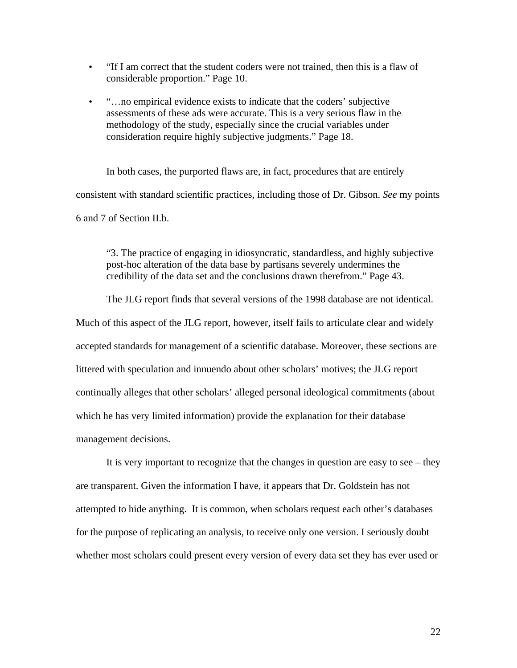- "If I am correct that the student coders were not trained, then this is a flaw of considerable proportion." Page 10.
- "…no empirical evidence exists to indicate that the coders' subjective assessments of these ads were accurate. This is a very serious flaw in the methodology of the study, especially since the crucial variables under consideration require highly subjective judgments." Page 18.

In both cases, the purported flaws are, in fact, procedures that are entirely consistent with standard scientific practices, including those of Dr. Gibson. *See* my points 6 and 7 of Section II.b.

"3. The practice of engaging in idiosyncratic, standardless, and highly subjective post-hoc alteration of the data base by partisans severely undermines the credibility of the data set and the conclusions drawn therefrom." Page 43.

The JLG report finds that several versions of the 1998 database are not identical.

Much of this aspect of the JLG report, however, itself fails to articulate clear and widely accepted standards for management of a scientific database. Moreover, these sections are littered with speculation and innuendo about other scholars' motives; the JLG report continually alleges that other scholars' alleged personal ideological commitments (about which he has very limited information) provide the explanation for their database management decisions.

It is very important to recognize that the changes in question are easy to see – they are transparent. Given the information I have, it appears that Dr. Goldstein has not attempted to hide anything. It is common, when scholars request each other's databases for the purpose of replicating an analysis, to receive only one version. I seriously doubt whether most scholars could present every version of every data set they has ever used or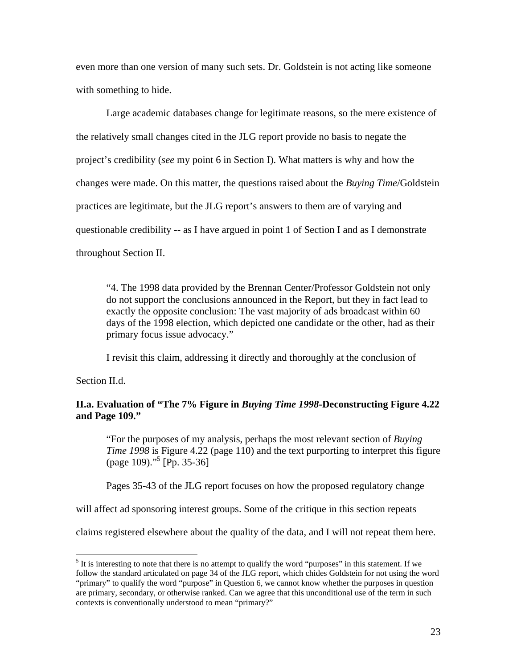even more than one version of many such sets. Dr. Goldstein is not acting like someone with something to hide.

Large academic databases change for legitimate reasons, so the mere existence of the relatively small changes cited in the JLG report provide no basis to negate the project's credibility (*see* my point 6 in Section I). What matters is why and how the changes were made. On this matter, the questions raised about the *Buying Time*/Goldstein practices are legitimate, but the JLG report's answers to them are of varying and questionable credibility -- as I have argued in point 1 of Section I and as I demonstrate throughout Section II.

"4. The 1998 data provided by the Brennan Center/Professor Goldstein not only do not support the conclusions announced in the Report, but they in fact lead to exactly the opposite conclusion: The vast majority of ads broadcast within 60 days of the 1998 election, which depicted one candidate or the other, had as their primary focus issue advocacy."

I revisit this claim, addressing it directly and thoroughly at the conclusion of

Section II.d.

 $\overline{a}$ 

### **II.a. Evaluation of "The 7% Figure in** *Buying Time 1998***-Deconstructing Figure 4.22 and Page 109."**

"For the purposes of my analysis, perhaps the most relevant section of *Buying Time 1998* is Figure 4.22 (page 110) and the text purporting to interpret this figure (page 109)."[5](#page-20-0) [Pp. 35-36]

Pages 35-43 of the JLG report focuses on how the proposed regulatory change

will affect ad sponsoring interest groups. Some of the critique in this section repeats

claims registered elsewhere about the quality of the data, and I will not repeat them here.

<span id="page-20-0"></span> $<sup>5</sup>$  It is interesting to note that there is no attempt to qualify the word "purposes" in this statement. If we</sup> follow the standard articulated on page 34 of the JLG report, which chides Goldstein for not using the word "primary" to qualify the word "purpose" in Question 6, we cannot know whether the purposes in question are primary, secondary, or otherwise ranked. Can we agree that this unconditional use of the term in such contexts is conventionally understood to mean "primary?"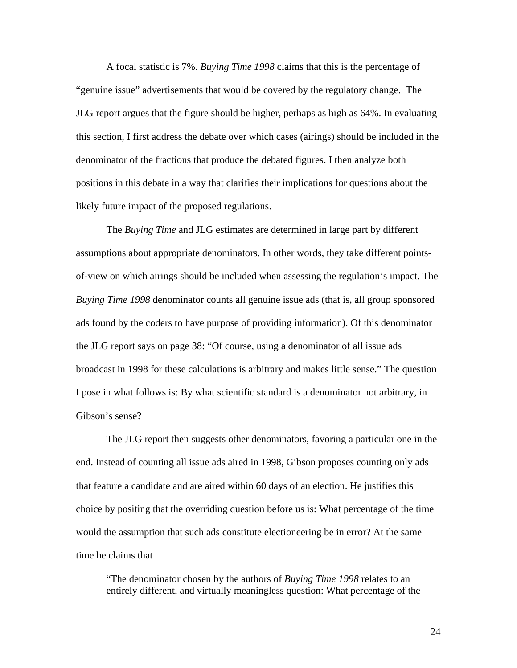A focal statistic is 7%. *Buying Time 1998* claims that this is the percentage of "genuine issue" advertisements that would be covered by the regulatory change. The JLG report argues that the figure should be higher, perhaps as high as 64%. In evaluating this section, I first address the debate over which cases (airings) should be included in the denominator of the fractions that produce the debated figures. I then analyze both positions in this debate in a way that clarifies their implications for questions about the likely future impact of the proposed regulations.

The *Buying Time* and JLG estimates are determined in large part by different assumptions about appropriate denominators. In other words, they take different pointsof-view on which airings should be included when assessing the regulation's impact. The *Buying Time 1998* denominator counts all genuine issue ads (that is, all group sponsored ads found by the coders to have purpose of providing information). Of this denominator the JLG report says on page 38: "Of course, using a denominator of all issue ads broadcast in 1998 for these calculations is arbitrary and makes little sense." The question I pose in what follows is: By what scientific standard is a denominator not arbitrary, in Gibson's sense?

The JLG report then suggests other denominators, favoring a particular one in the end. Instead of counting all issue ads aired in 1998, Gibson proposes counting only ads that feature a candidate and are aired within 60 days of an election. He justifies this choice by positing that the overriding question before us is: What percentage of the time would the assumption that such ads constitute electioneering be in error? At the same time he claims that

"The denominator chosen by the authors of *Buying Time 1998* relates to an entirely different, and virtually meaningless question: What percentage of the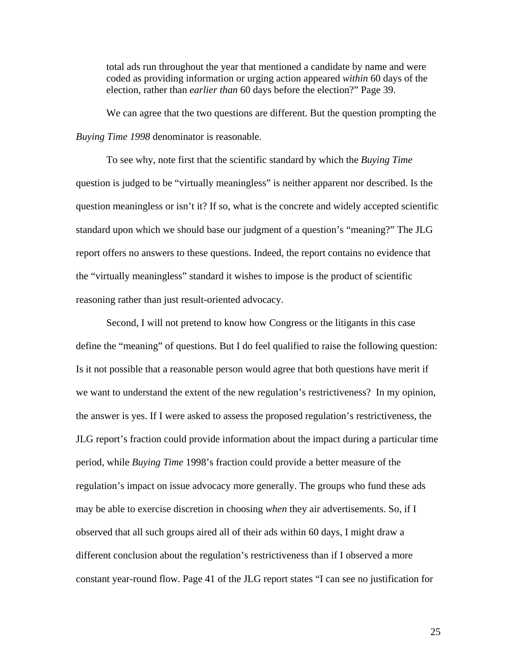total ads run throughout the year that mentioned a candidate by name and were coded as providing information or urging action appeared *within* 60 days of the election, rather than *earlier than* 60 days before the election?" Page 39.

We can agree that the two questions are different. But the question prompting the *Buying Time 1998* denominator is reasonable.

To see why, note first that the scientific standard by which the *Buying Time* question is judged to be "virtually meaningless" is neither apparent nor described. Is the question meaningless or isn't it? If so, what is the concrete and widely accepted scientific standard upon which we should base our judgment of a question's "meaning?" The JLG report offers no answers to these questions. Indeed, the report contains no evidence that the "virtually meaningless" standard it wishes to impose is the product of scientific reasoning rather than just result-oriented advocacy.

Second, I will not pretend to know how Congress or the litigants in this case define the "meaning" of questions. But I do feel qualified to raise the following question: Is it not possible that a reasonable person would agree that both questions have merit if we want to understand the extent of the new regulation's restrictiveness? In my opinion, the answer is yes. If I were asked to assess the proposed regulation's restrictiveness, the JLG report's fraction could provide information about the impact during a particular time period, while *Buying Time* 1998's fraction could provide a better measure of the regulation's impact on issue advocacy more generally. The groups who fund these ads may be able to exercise discretion in choosing *when* they air advertisements. So, if I observed that all such groups aired all of their ads within 60 days, I might draw a different conclusion about the regulation's restrictiveness than if I observed a more constant year-round flow. Page 41 of the JLG report states "I can see no justification for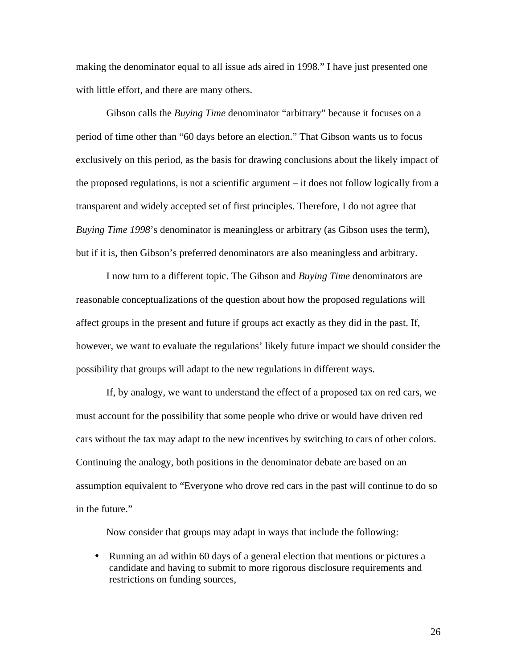making the denominator equal to all issue ads aired in 1998." I have just presented one with little effort, and there are many others.

Gibson calls the *Buying Time* denominator "arbitrary" because it focuses on a period of time other than "60 days before an election." That Gibson wants us to focus exclusively on this period, as the basis for drawing conclusions about the likely impact of the proposed regulations, is not a scientific argument – it does not follow logically from a transparent and widely accepted set of first principles. Therefore, I do not agree that *Buying Time 1998*'s denominator is meaningless or arbitrary (as Gibson uses the term), but if it is, then Gibson's preferred denominators are also meaningless and arbitrary.

I now turn to a different topic. The Gibson and *Buying Time* denominators are reasonable conceptualizations of the question about how the proposed regulations will affect groups in the present and future if groups act exactly as they did in the past. If, however, we want to evaluate the regulations' likely future impact we should consider the possibility that groups will adapt to the new regulations in different ways.

If, by analogy, we want to understand the effect of a proposed tax on red cars, we must account for the possibility that some people who drive or would have driven red cars without the tax may adapt to the new incentives by switching to cars of other colors. Continuing the analogy, both positions in the denominator debate are based on an assumption equivalent to "Everyone who drove red cars in the past will continue to do so in the future."

Now consider that groups may adapt in ways that include the following:

• Running an ad within 60 days of a general election that mentions or pictures a candidate and having to submit to more rigorous disclosure requirements and restrictions on funding sources,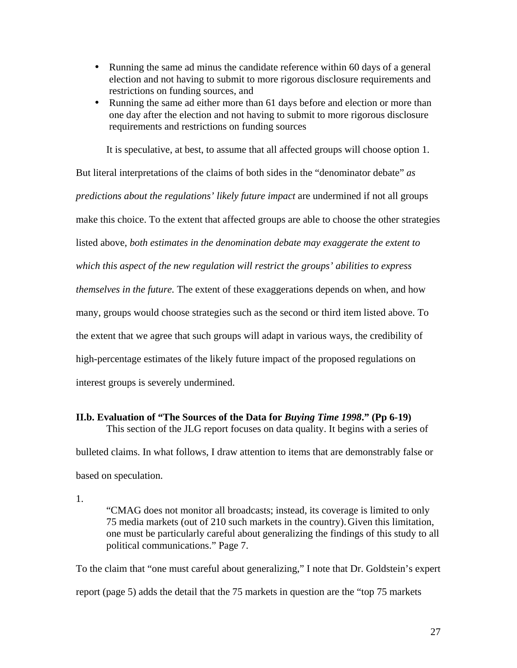- Running the same ad minus the candidate reference within 60 days of a general election and not having to submit to more rigorous disclosure requirements and restrictions on funding sources, and
- Running the same ad either more than 61 days before and election or more than one day after the election and not having to submit to more rigorous disclosure requirements and restrictions on funding sources

It is speculative, at best, to assume that all affected groups will choose option 1.

But literal interpretations of the claims of both sides in the "denominator debate" *as predictions about the regulations' likely future impact* are undermined if not all groups make this choice. To the extent that affected groups are able to choose the other strategies listed above, *both estimates in the denomination debate may exaggerate the extent to which this aspect of the new regulation will restrict the groups' abilities to express themselves in the future.* The extent of these exaggerations depends on when, and how many, groups would choose strategies such as the second or third item listed above. To the extent that we agree that such groups will adapt in various ways, the credibility of high-percentage estimates of the likely future impact of the proposed regulations on interest groups is severely undermined.

# **II.b. Evaluation of "The Sources of the Data for** *Buying Time 1998***." (Pp 6-19)**

This section of the JLG report focuses on data quality. It begins with a series of bulleted claims. In what follows, I draw attention to items that are demonstrably false or based on speculation.

1.

"CMAG does not monitor all broadcasts; instead, its coverage is limited to only 75 media markets (out of 210 such markets in the country).Given this limitation, one must be particularly careful about generalizing the findings of this study to all political communications." Page 7.

To the claim that "one must careful about generalizing," I note that Dr. Goldstein's expert report (page 5) adds the detail that the 75 markets in question are the "top 75 markets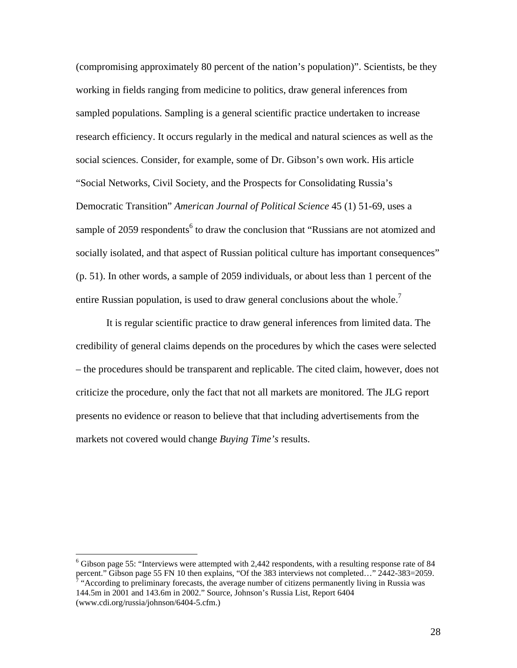(compromising approximately 80 percent of the nation's population)". Scientists, be they working in fields ranging from medicine to politics, draw general inferences from sampled populations. Sampling is a general scientific practice undertaken to increase research efficiency. It occurs regularly in the medical and natural sciences as well as the social sciences. Consider, for example, some of Dr. Gibson's own work. His article "Social Networks, Civil Society, and the Prospects for Consolidating Russia's Democratic Transition" *American Journal of Political Science* 45 (1) 51-69, uses a sample of 2059 respondents<sup>6</sup> to draw the conclusion that "Russians are not atomized and socially isolated, and that aspect of Russian political culture has important consequences" (p. 51). In other words, a sample of 2059 individuals, or about less than 1 percent of the entire Russian population, is used to draw general conclusions about the whole.<sup>[7](#page-25-1)</sup>

It is regular scientific practice to draw general inferences from limited data. The credibility of general claims depends on the procedures by which the cases were selected – the procedures should be transparent and replicable. The cited claim, however, does not criticize the procedure, only the fact that not all markets are monitored. The JLG report presents no evidence or reason to believe that that including advertisements from the markets not covered would change *Buying Time's* results.

 $\overline{a}$ 

<span id="page-25-0"></span><sup>6</sup> Gibson page 55: "Interviews were attempted with 2,442 respondents, with a resulting response rate of 84 percent." Gibson page 55 FN 10 then explains, "Of the 383 interviews not completed..." 2442-383=2059.  $\frac{1}{4}$  "According to preliminary forecasts, the average number of citizens permanently living in Russia was

<span id="page-25-1"></span><sup>144.5</sup>m in 2001 and 143.6m in 2002." Source, Johnson's Russia List, Report 6404 (www.cdi.org/russia/johnson/6404-5.cfm.)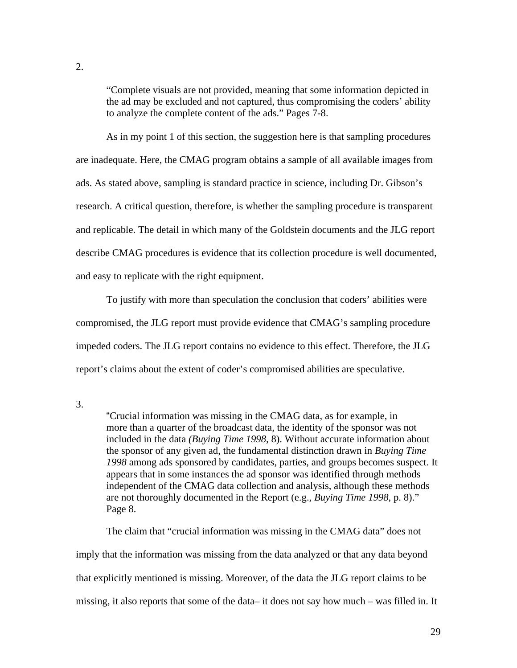"Complete visuals are not provided, meaning that some information depicted in the ad may be excluded and not captured, thus compromising the coders' ability to analyze the complete content of the ads." Pages 7-8.

As in my point 1 of this section, the suggestion here is that sampling procedures are inadequate. Here, the CMAG program obtains a sample of all available images from ads. As stated above, sampling is standard practice in science, including Dr. Gibson's research. A critical question, therefore, is whether the sampling procedure is transparent and replicable. The detail in which many of the Goldstein documents and the JLG report describe CMAG procedures is evidence that its collection procedure is well documented, and easy to replicate with the right equipment.

To justify with more than speculation the conclusion that coders' abilities were compromised, the JLG report must provide evidence that CMAG's sampling procedure impeded coders. The JLG report contains no evidence to this effect. Therefore, the JLG report's claims about the extent of coder's compromised abilities are speculative.

3.

"Crucial information was missing in the CMAG data, as for example, in more than a quarter of the broadcast data, the identity of the sponsor was not included in the data *(Buying Time 1998*, 8). Without accurate information about the sponsor of any given ad, the fundamental distinction drawn in *Buying Time 1998* among ads sponsored by candidates, parties, and groups becomes suspect. It appears that in some instances the ad sponsor was identified through methods independent of the CMAG data collection and analysis, although these methods are not thoroughly documented in the Report (e.g., *Buying Time 1998*, p. 8)." Page 8.

The claim that "crucial information was missing in the CMAG data" does not imply that the information was missing from the data analyzed or that any data beyond that explicitly mentioned is missing. Moreover, of the data the JLG report claims to be missing, it also reports that some of the data– it does not say how much – was filled in. It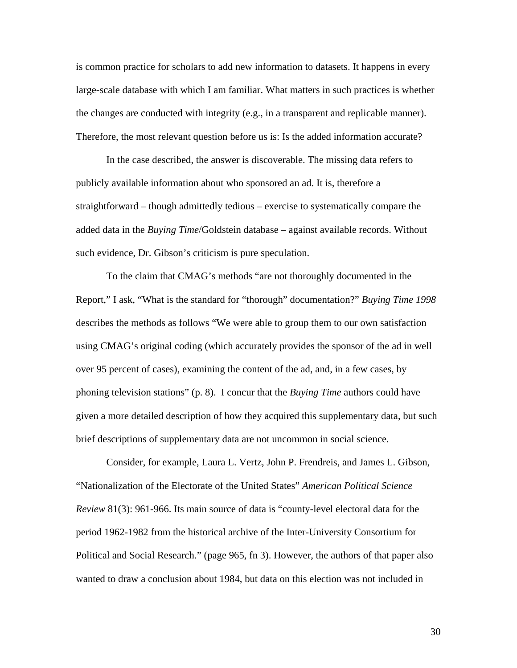is common practice for scholars to add new information to datasets. It happens in every large-scale database with which I am familiar. What matters in such practices is whether the changes are conducted with integrity (e.g., in a transparent and replicable manner). Therefore, the most relevant question before us is: Is the added information accurate?

In the case described, the answer is discoverable. The missing data refers to publicly available information about who sponsored an ad. It is, therefore a straightforward – though admittedly tedious – exercise to systematically compare the added data in the *Buying Time*/Goldstein database – against available records. Without such evidence, Dr. Gibson's criticism is pure speculation.

To the claim that CMAG's methods "are not thoroughly documented in the Report," I ask, "What is the standard for "thorough" documentation?" *Buying Time 1998* describes the methods as follows "We were able to group them to our own satisfaction using CMAG's original coding (which accurately provides the sponsor of the ad in well over 95 percent of cases), examining the content of the ad, and, in a few cases, by phoning television stations" (p. 8). I concur that the *Buying Time* authors could have given a more detailed description of how they acquired this supplementary data, but such brief descriptions of supplementary data are not uncommon in social science.

Consider, for example, Laura L. Vertz, John P. Frendreis, and James L. Gibson, "Nationalization of the Electorate of the United States" *American Political Science Review* 81(3): 961-966. Its main source of data is "county-level electoral data for the period 1962-1982 from the historical archive of the Inter-University Consortium for Political and Social Research." (page 965, fn 3). However, the authors of that paper also wanted to draw a conclusion about 1984, but data on this election was not included in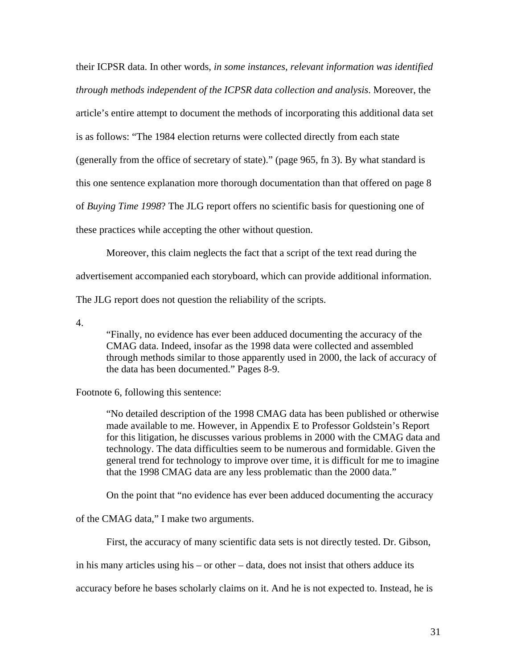their ICPSR data. In other words, *in some instances, relevant information was identified through methods independent of the ICPSR data collection and analysis*. Moreover, the article's entire attempt to document the methods of incorporating this additional data set is as follows: "The 1984 election returns were collected directly from each state (generally from the office of secretary of state)." (page 965, fn 3). By what standard is this one sentence explanation more thorough documentation than that offered on page 8 of *Buying Time 1998*? The JLG report offers no scientific basis for questioning one of these practices while accepting the other without question.

Moreover, this claim neglects the fact that a script of the text read during the advertisement accompanied each storyboard, which can provide additional information. The JLG report does not question the reliability of the scripts.

4.

"Finally, no evidence has ever been adduced documenting the accuracy of the CMAG data. Indeed, insofar as the 1998 data were collected and assembled through methods similar to those apparently used in 2000, the lack of accuracy of the data has been documented." Pages 8-9.

#### Footnote 6, following this sentence:

"No detailed description of the 1998 CMAG data has been published or otherwise made available to me. However, in Appendix E to Professor Goldstein's Report for this litigation, he discusses various problems in 2000 with the CMAG data and technology. The data difficulties seem to be numerous and formidable. Given the general trend for technology to improve over time, it is difficult for me to imagine that the 1998 CMAG data are any less problematic than the 2000 data."

On the point that "no evidence has ever been adduced documenting the accuracy

of the CMAG data," I make two arguments.

First, the accuracy of many scientific data sets is not directly tested. Dr. Gibson,

in his many articles using his – or other – data, does not insist that others adduce its

accuracy before he bases scholarly claims on it. And he is not expected to. Instead, he is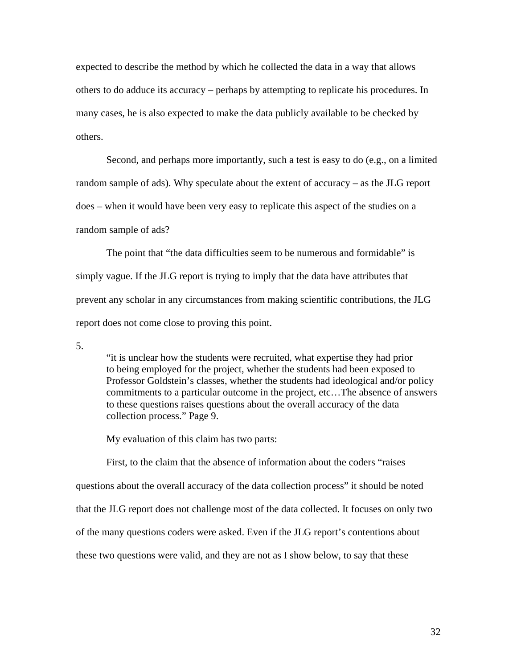expected to describe the method by which he collected the data in a way that allows others to do adduce its accuracy – perhaps by attempting to replicate his procedures. In many cases, he is also expected to make the data publicly available to be checked by others.

Second, and perhaps more importantly, such a test is easy to do (e.g., on a limited random sample of ads). Why speculate about the extent of accuracy – as the JLG report does – when it would have been very easy to replicate this aspect of the studies on a random sample of ads?

The point that "the data difficulties seem to be numerous and formidable" is simply vague. If the JLG report is trying to imply that the data have attributes that prevent any scholar in any circumstances from making scientific contributions, the JLG report does not come close to proving this point.

5.

"it is unclear how the students were recruited, what expertise they had prior to being employed for the project, whether the students had been exposed to Professor Goldstein's classes, whether the students had ideological and/or policy commitments to a particular outcome in the project, etc…The absence of answers to these questions raises questions about the overall accuracy of the data collection process." Page 9.

My evaluation of this claim has two parts:

First, to the claim that the absence of information about the coders "raises questions about the overall accuracy of the data collection process" it should be noted that the JLG report does not challenge most of the data collected. It focuses on only two of the many questions coders were asked. Even if the JLG report's contentions about these two questions were valid, and they are not as I show below, to say that these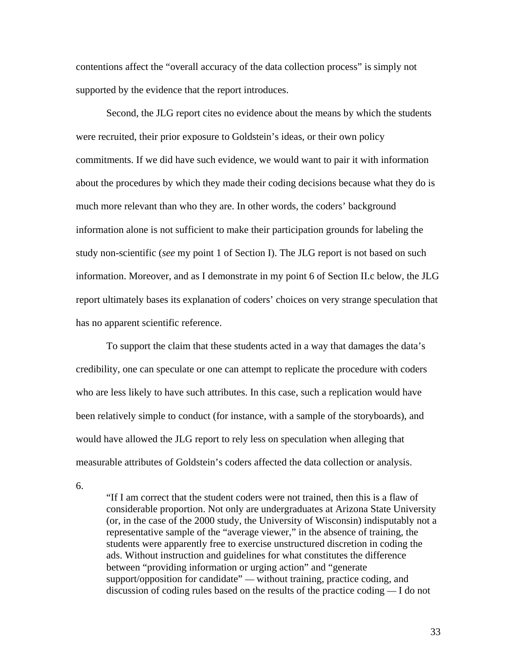contentions affect the "overall accuracy of the data collection process" is simply not supported by the evidence that the report introduces.

Second, the JLG report cites no evidence about the means by which the students were recruited, their prior exposure to Goldstein's ideas, or their own policy commitments. If we did have such evidence, we would want to pair it with information about the procedures by which they made their coding decisions because what they do is much more relevant than who they are. In other words, the coders' background information alone is not sufficient to make their participation grounds for labeling the study non-scientific (*see* my point 1 of Section I). The JLG report is not based on such information. Moreover, and as I demonstrate in my point 6 of Section II.c below, the JLG report ultimately bases its explanation of coders' choices on very strange speculation that has no apparent scientific reference.

To support the claim that these students acted in a way that damages the data's credibility, one can speculate or one can attempt to replicate the procedure with coders who are less likely to have such attributes. In this case, such a replication would have been relatively simple to conduct (for instance, with a sample of the storyboards), and would have allowed the JLG report to rely less on speculation when alleging that measurable attributes of Goldstein's coders affected the data collection or analysis.

6.

"If I am correct that the student coders were not trained, then this is a flaw of considerable proportion. Not only are undergraduates at Arizona State University (or, in the case of the 2000 study, the University of Wisconsin) indisputably not a representative sample of the "average viewer," in the absence of training, the students were apparently free to exercise unstructured discretion in coding the ads. Without instruction and guidelines for what constitutes the difference between "providing information or urging action" and "generate support/opposition for candidate" — without training, practice coding, and discussion of coding rules based on the results of the practice coding — I do not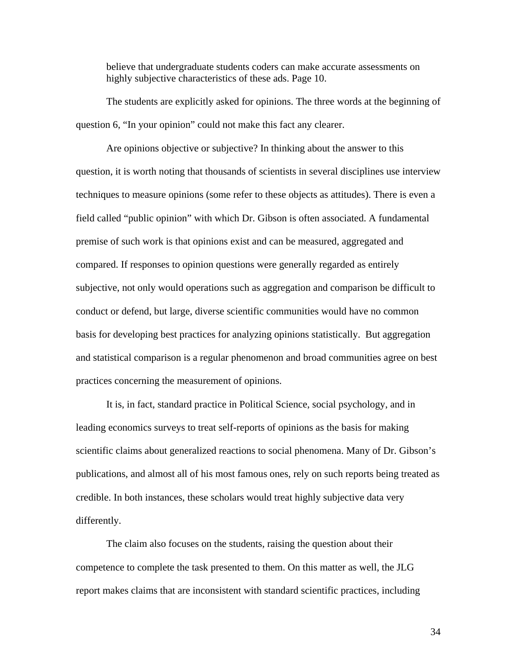believe that undergraduate students coders can make accurate assessments on highly subjective characteristics of these ads. Page 10.

The students are explicitly asked for opinions. The three words at the beginning of question 6, "In your opinion" could not make this fact any clearer.

Are opinions objective or subjective? In thinking about the answer to this question, it is worth noting that thousands of scientists in several disciplines use interview techniques to measure opinions (some refer to these objects as attitudes). There is even a field called "public opinion" with which Dr. Gibson is often associated. A fundamental premise of such work is that opinions exist and can be measured, aggregated and compared. If responses to opinion questions were generally regarded as entirely subjective, not only would operations such as aggregation and comparison be difficult to conduct or defend, but large, diverse scientific communities would have no common basis for developing best practices for analyzing opinions statistically. But aggregation and statistical comparison is a regular phenomenon and broad communities agree on best practices concerning the measurement of opinions.

It is, in fact, standard practice in Political Science, social psychology, and in leading economics surveys to treat self-reports of opinions as the basis for making scientific claims about generalized reactions to social phenomena. Many of Dr. Gibson's publications, and almost all of his most famous ones, rely on such reports being treated as credible. In both instances, these scholars would treat highly subjective data very differently.

The claim also focuses on the students, raising the question about their competence to complete the task presented to them. On this matter as well, the JLG report makes claims that are inconsistent with standard scientific practices, including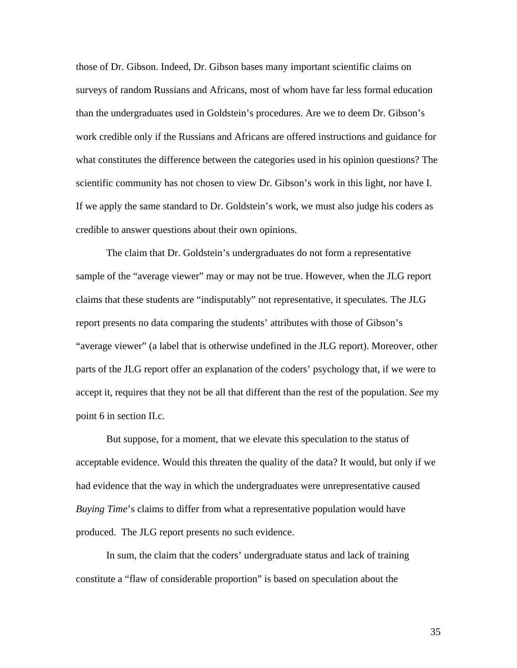those of Dr. Gibson. Indeed, Dr. Gibson bases many important scientific claims on surveys of random Russians and Africans, most of whom have far less formal education than the undergraduates used in Goldstein's procedures. Are we to deem Dr. Gibson's work credible only if the Russians and Africans are offered instructions and guidance for what constitutes the difference between the categories used in his opinion questions? The scientific community has not chosen to view Dr. Gibson's work in this light, nor have I. If we apply the same standard to Dr. Goldstein's work, we must also judge his coders as credible to answer questions about their own opinions.

The claim that Dr. Goldstein's undergraduates do not form a representative sample of the "average viewer" may or may not be true. However, when the JLG report claims that these students are "indisputably" not representative, it speculates. The JLG report presents no data comparing the students' attributes with those of Gibson's "average viewer" (a label that is otherwise undefined in the JLG report). Moreover, other parts of the JLG report offer an explanation of the coders' psychology that, if we were to accept it, requires that they not be all that different than the rest of the population. *See* my point 6 in section II.c.

But suppose, for a moment, that we elevate this speculation to the status of acceptable evidence. Would this threaten the quality of the data? It would, but only if we had evidence that the way in which the undergraduates were unrepresentative caused *Buying Time*'s claims to differ from what a representative population would have produced. The JLG report presents no such evidence.

In sum, the claim that the coders' undergraduate status and lack of training constitute a "flaw of considerable proportion" is based on speculation about the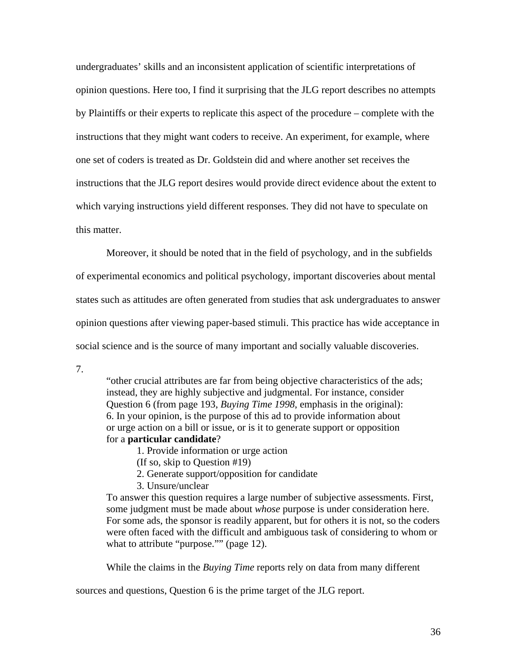undergraduates' skills and an inconsistent application of scientific interpretations of opinion questions. Here too, I find it surprising that the JLG report describes no attempts by Plaintiffs or their experts to replicate this aspect of the procedure – complete with the instructions that they might want coders to receive. An experiment, for example, where one set of coders is treated as Dr. Goldstein did and where another set receives the instructions that the JLG report desires would provide direct evidence about the extent to which varying instructions yield different responses. They did not have to speculate on this matter.

Moreover, it should be noted that in the field of psychology, and in the subfields

of experimental economics and political psychology, important discoveries about mental states such as attitudes are often generated from studies that ask undergraduates to answer opinion questions after viewing paper-based stimuli. This practice has wide acceptance in social science and is the source of many important and socially valuable discoveries.

7.

"other crucial attributes are far from being objective characteristics of the ads; instead, they are highly subjective and judgmental. For instance, consider Question 6 (from page 193, *Buying Time 1998*, emphasis in the original): 6. In your opinion, is the purpose of this ad to provide information about or urge action on a bill or issue, or is it to generate support or opposition for a **particular candidate**?

1. Provide information or urge action

(If so, skip to Question #19)

2. Generate support/opposition for candidate

3. Unsure/unclear

To answer this question requires a large number of subjective assessments. First, some judgment must be made about *whose* purpose is under consideration here. For some ads, the sponsor is readily apparent, but for others it is not, so the coders were often faced with the difficult and ambiguous task of considering to whom or what to attribute "purpose."" (page 12).

While the claims in the *Buying Time* reports rely on data from many different

sources and questions, Question 6 is the prime target of the JLG report.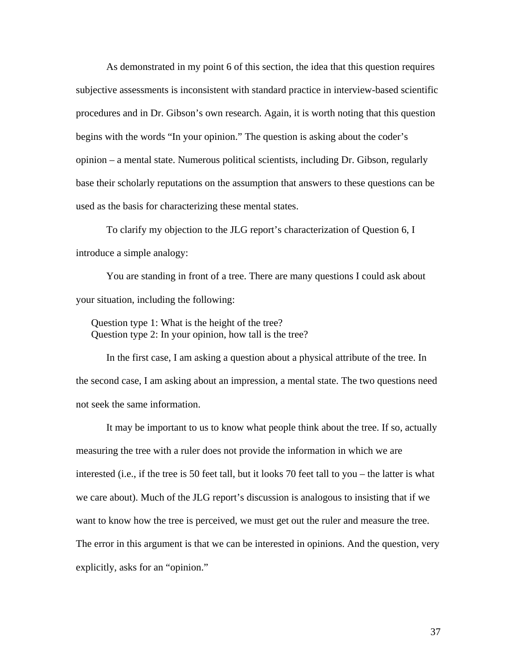As demonstrated in my point 6 of this section, the idea that this question requires subjective assessments is inconsistent with standard practice in interview-based scientific procedures and in Dr. Gibson's own research. Again, it is worth noting that this question begins with the words "In your opinion." The question is asking about the coder's opinion – a mental state. Numerous political scientists, including Dr. Gibson, regularly base their scholarly reputations on the assumption that answers to these questions can be used as the basis for characterizing these mental states.

To clarify my objection to the JLG report's characterization of Question 6, I introduce a simple analogy:

You are standing in front of a tree. There are many questions I could ask about your situation, including the following:

Question type 1: What is the height of the tree? Question type 2: In your opinion, how tall is the tree?

In the first case, I am asking a question about a physical attribute of the tree. In the second case, I am asking about an impression, a mental state. The two questions need not seek the same information.

It may be important to us to know what people think about the tree. If so, actually measuring the tree with a ruler does not provide the information in which we are interested (i.e., if the tree is 50 feet tall, but it looks 70 feet tall to you – the latter is what we care about). Much of the JLG report's discussion is analogous to insisting that if we want to know how the tree is perceived, we must get out the ruler and measure the tree. The error in this argument is that we can be interested in opinions. And the question, very explicitly, asks for an "opinion."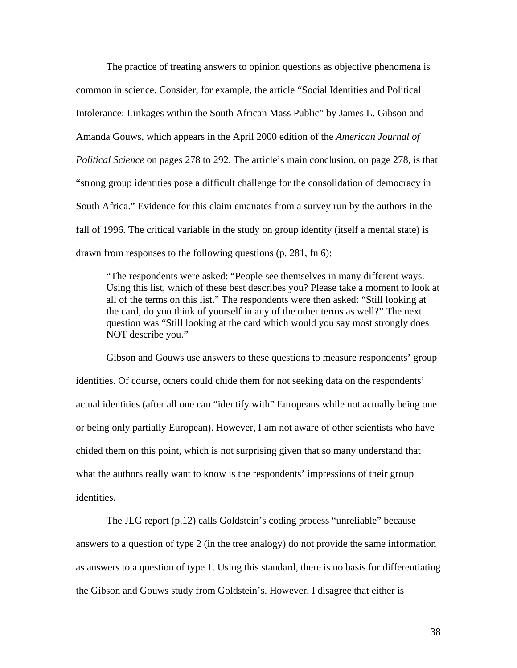The practice of treating answers to opinion questions as objective phenomena is common in science. Consider, for example, the article "Social Identities and Political Intolerance: Linkages within the South African Mass Public" by James L. Gibson and Amanda Gouws, which appears in the April 2000 edition of the *American Journal of Political Science* on pages 278 to 292. The article's main conclusion, on page 278, is that "strong group identities pose a difficult challenge for the consolidation of democracy in South Africa." Evidence for this claim emanates from a survey run by the authors in the fall of 1996. The critical variable in the study on group identity (itself a mental state) is drawn from responses to the following questions (p. 281, fn 6):

"The respondents were asked: "People see themselves in many different ways. Using this list, which of these best describes you? Please take a moment to look at all of the terms on this list." The respondents were then asked: "Still looking at the card, do you think of yourself in any of the other terms as well?" The next question was "Still looking at the card which would you say most strongly does NOT describe you."

Gibson and Gouws use answers to these questions to measure respondents' group identities. Of course, others could chide them for not seeking data on the respondents' actual identities (after all one can "identify with" Europeans while not actually being one or being only partially European). However, I am not aware of other scientists who have chided them on this point, which is not surprising given that so many understand that what the authors really want to know is the respondents' impressions of their group identities.

The JLG report (p.12) calls Goldstein's coding process "unreliable" because answers to a question of type 2 (in the tree analogy) do not provide the same information as answers to a question of type 1. Using this standard, there is no basis for differentiating the Gibson and Gouws study from Goldstein's. However, I disagree that either is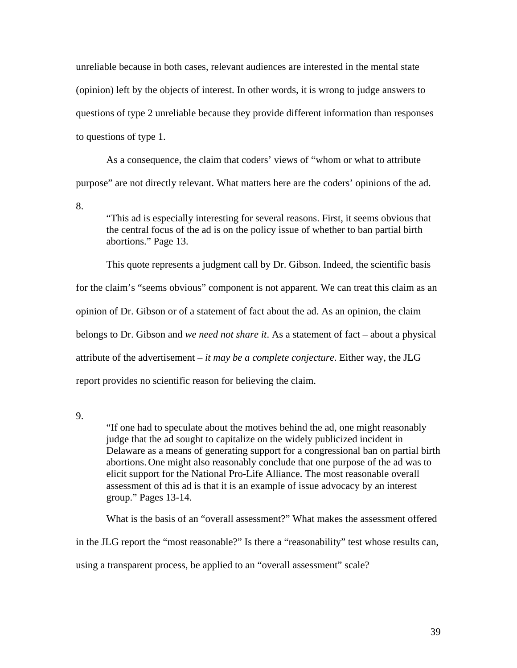unreliable because in both cases, relevant audiences are interested in the mental state (opinion) left by the objects of interest. In other words, it is wrong to judge answers to questions of type 2 unreliable because they provide different information than responses to questions of type 1.

As a consequence, the claim that coders' views of "whom or what to attribute purpose" are not directly relevant. What matters here are the coders' opinions of the ad.

8.

"This ad is especially interesting for several reasons. First, it seems obvious that the central focus of the ad is on the policy issue of whether to ban partial birth abortions." Page 13.

This quote represents a judgment call by Dr. Gibson. Indeed, the scientific basis for the claim's "seems obvious" component is not apparent. We can treat this claim as an opinion of Dr. Gibson or of a statement of fact about the ad. As an opinion, the claim belongs to Dr. Gibson and *we need not share it*. As a statement of fact – about a physical attribute of the advertisement – *it may be a complete conjecture*. Either way, the JLG report provides no scientific reason for believing the claim.

9.

"If one had to speculate about the motives behind the ad, one might reasonably judge that the ad sought to capitalize on the widely publicized incident in Delaware as a means of generating support for a congressional ban on partial birth abortions.One might also reasonably conclude that one purpose of the ad was to elicit support for the National Pro-Life Alliance. The most reasonable overall assessment of this ad is that it is an example of issue advocacy by an interest group." Pages 13-14.

What is the basis of an "overall assessment?" What makes the assessment offered

in the JLG report the "most reasonable?" Is there a "reasonability" test whose results can,

using a transparent process, be applied to an "overall assessment" scale?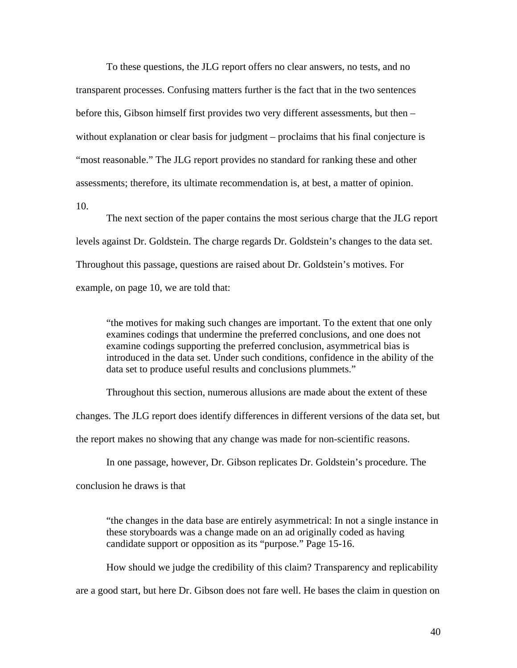To these questions, the JLG report offers no clear answers, no tests, and no transparent processes. Confusing matters further is the fact that in the two sentences before this, Gibson himself first provides two very different assessments, but then – without explanation or clear basis for judgment – proclaims that his final conjecture is "most reasonable." The JLG report provides no standard for ranking these and other assessments; therefore, its ultimate recommendation is, at best, a matter of opinion.

10.

The next section of the paper contains the most serious charge that the JLG report levels against Dr. Goldstein. The charge regards Dr. Goldstein's changes to the data set. Throughout this passage, questions are raised about Dr. Goldstein's motives. For example, on page 10, we are told that:

"the motives for making such changes are important. To the extent that one only examines codings that undermine the preferred conclusions, and one does not examine codings supporting the preferred conclusion, asymmetrical bias is introduced in the data set. Under such conditions, confidence in the ability of the data set to produce useful results and conclusions plummets."

Throughout this section, numerous allusions are made about the extent of these

changes. The JLG report does identify differences in different versions of the data set, but

the report makes no showing that any change was made for non-scientific reasons.

In one passage, however, Dr. Gibson replicates Dr. Goldstein's procedure. The

conclusion he draws is that

"the changes in the data base are entirely asymmetrical: In not a single instance in these storyboards was a change made on an ad originally coded as having candidate support or opposition as its "purpose." Page 15-16.

How should we judge the credibility of this claim? Transparency and replicability are a good start, but here Dr. Gibson does not fare well. He bases the claim in question on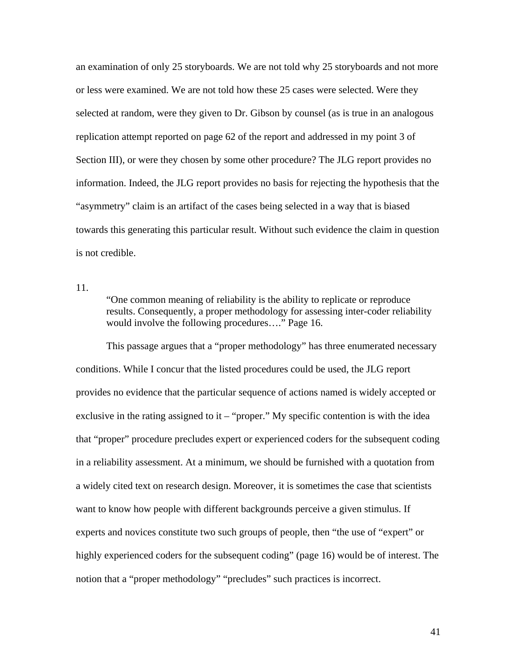an examination of only 25 storyboards. We are not told why 25 storyboards and not more or less were examined. We are not told how these 25 cases were selected. Were they selected at random, were they given to Dr. Gibson by counsel (as is true in an analogous replication attempt reported on page 62 of the report and addressed in my point 3 of Section III), or were they chosen by some other procedure? The JLG report provides no information. Indeed, the JLG report provides no basis for rejecting the hypothesis that the "asymmetry" claim is an artifact of the cases being selected in a way that is biased towards this generating this particular result. Without such evidence the claim in question is not credible.

11.

"One common meaning of reliability is the ability to replicate or reproduce results. Consequently, a proper methodology for assessing inter-coder reliability would involve the following procedures…." Page 16.

This passage argues that a "proper methodology" has three enumerated necessary conditions. While I concur that the listed procedures could be used, the JLG report provides no evidence that the particular sequence of actions named is widely accepted or exclusive in the rating assigned to it – "proper." My specific contention is with the idea that "proper" procedure precludes expert or experienced coders for the subsequent coding in a reliability assessment. At a minimum, we should be furnished with a quotation from a widely cited text on research design. Moreover, it is sometimes the case that scientists want to know how people with different backgrounds perceive a given stimulus. If experts and novices constitute two such groups of people, then "the use of "expert" or highly experienced coders for the subsequent coding" (page 16) would be of interest. The notion that a "proper methodology" "precludes" such practices is incorrect.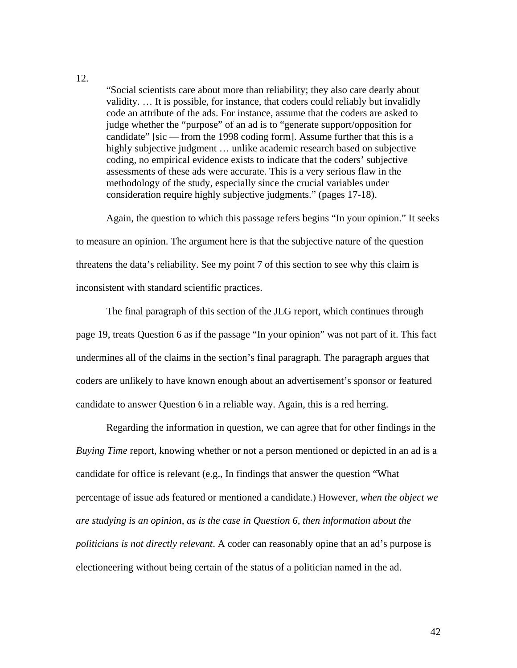12.

"Social scientists care about more than reliability; they also care dearly about validity. … It is possible, for instance, that coders could reliably but invalidly code an attribute of the ads. For instance, assume that the coders are asked to judge whether the "purpose" of an ad is to "generate support/opposition for candidate" [sic — from the 1998 coding form]. Assume further that this is a highly subjective judgment … unlike academic research based on subjective coding, no empirical evidence exists to indicate that the coders' subjective assessments of these ads were accurate. This is a very serious flaw in the methodology of the study, especially since the crucial variables under consideration require highly subjective judgments." (pages 17-18).

Again, the question to which this passage refers begins "In your opinion." It seeks to measure an opinion. The argument here is that the subjective nature of the question threatens the data's reliability. See my point 7 of this section to see why this claim is inconsistent with standard scientific practices.

The final paragraph of this section of the JLG report, which continues through page 19, treats Question 6 as if the passage "In your opinion" was not part of it. This fact undermines all of the claims in the section's final paragraph. The paragraph argues that coders are unlikely to have known enough about an advertisement's sponsor or featured candidate to answer Question 6 in a reliable way. Again, this is a red herring.

Regarding the information in question, we can agree that for other findings in the *Buying Time* report, knowing whether or not a person mentioned or depicted in an ad is a candidate for office is relevant (e.g., In findings that answer the question "What percentage of issue ads featured or mentioned a candidate.) However, *when the object we are studying is an opinion, as is the case in Question 6, then information about the politicians is not directly relevant*. A coder can reasonably opine that an ad's purpose is electioneering without being certain of the status of a politician named in the ad.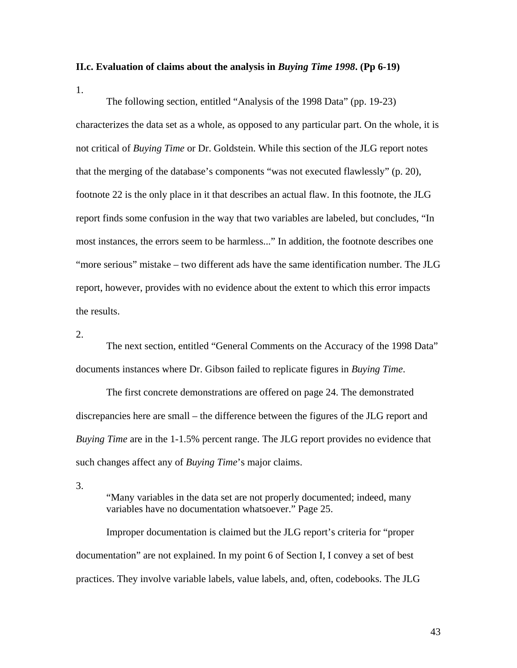#### **II.c. Evaluation of claims about the analysis in** *Buying Time 1998***. (Pp 6-19)**

1.

The following section, entitled "Analysis of the 1998 Data" (pp. 19-23) characterizes the data set as a whole, as opposed to any particular part. On the whole, it is not critical of *Buying Time* or Dr. Goldstein. While this section of the JLG report notes that the merging of the database's components "was not executed flawlessly" (p. 20), footnote 22 is the only place in it that describes an actual flaw. In this footnote, the JLG report finds some confusion in the way that two variables are labeled, but concludes, "In most instances, the errors seem to be harmless..." In addition, the footnote describes one "more serious" mistake – two different ads have the same identification number. The JLG report, however, provides with no evidence about the extent to which this error impacts the results.

#### 2.

The next section, entitled "General Comments on the Accuracy of the 1998 Data" documents instances where Dr. Gibson failed to replicate figures in *Buying Time*.

The first concrete demonstrations are offered on page 24. The demonstrated discrepancies here are small – the difference between the figures of the JLG report and *Buying Time* are in the 1-1.5% percent range. The JLG report provides no evidence that such changes affect any of *Buying Time*'s major claims.

3.

"Many variables in the data set are not properly documented; indeed, many variables have no documentation whatsoever." Page 25.

Improper documentation is claimed but the JLG report's criteria for "proper documentation" are not explained. In my point 6 of Section I, I convey a set of best practices. They involve variable labels, value labels, and, often, codebooks. The JLG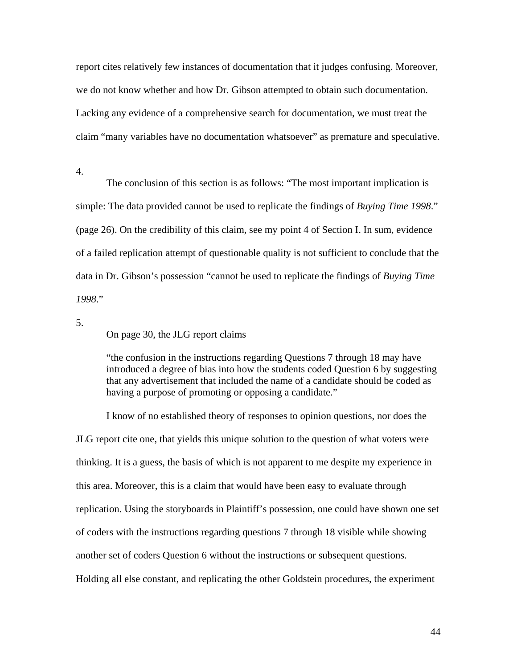report cites relatively few instances of documentation that it judges confusing. Moreover, we do not know whether and how Dr. Gibson attempted to obtain such documentation. Lacking any evidence of a comprehensive search for documentation, we must treat the claim "many variables have no documentation whatsoever" as premature and speculative.

4.

The conclusion of this section is as follows: "The most important implication is simple: The data provided cannot be used to replicate the findings of *Buying Time 1998*." (page 26). On the credibility of this claim, see my point 4 of Section I. In sum, evidence of a failed replication attempt of questionable quality is not sufficient to conclude that the data in Dr. Gibson's possession "cannot be used to replicate the findings of *Buying Time 1998*."

5.

On page 30, the JLG report claims

"the confusion in the instructions regarding Questions 7 through 18 may have introduced a degree of bias into how the students coded Question 6 by suggesting that any advertisement that included the name of a candidate should be coded as having a purpose of promoting or opposing a candidate."

I know of no established theory of responses to opinion questions, nor does the JLG report cite one, that yields this unique solution to the question of what voters were thinking. It is a guess, the basis of which is not apparent to me despite my experience in this area. Moreover, this is a claim that would have been easy to evaluate through replication. Using the storyboards in Plaintiff's possession, one could have shown one set of coders with the instructions regarding questions 7 through 18 visible while showing another set of coders Question 6 without the instructions or subsequent questions. Holding all else constant, and replicating the other Goldstein procedures, the experiment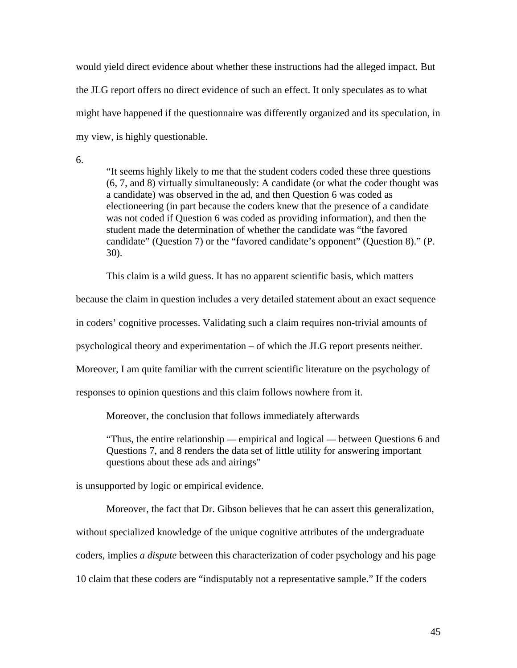would yield direct evidence about whether these instructions had the alleged impact. But the JLG report offers no direct evidence of such an effect. It only speculates as to what might have happened if the questionnaire was differently organized and its speculation, in my view, is highly questionable.

6.

"It seems highly likely to me that the student coders coded these three questions (6, 7, and 8) virtually simultaneously: A candidate (or what the coder thought was a candidate) was observed in the ad, and then Question 6 was coded as electioneering (in part because the coders knew that the presence of a candidate was not coded if Question 6 was coded as providing information), and then the student made the determination of whether the candidate was "the favored candidate" (Question 7) or the "favored candidate's opponent" (Question 8)." (P. 30).

This claim is a wild guess. It has no apparent scientific basis, which matters

because the claim in question includes a very detailed statement about an exact sequence

in coders' cognitive processes. Validating such a claim requires non-trivial amounts of

psychological theory and experimentation – of which the JLG report presents neither.

Moreover, I am quite familiar with the current scientific literature on the psychology of

responses to opinion questions and this claim follows nowhere from it.

Moreover, the conclusion that follows immediately afterwards

"Thus, the entire relationship — empirical and logical — between Questions 6 and Questions 7, and 8 renders the data set of little utility for answering important questions about these ads and airings"

is unsupported by logic or empirical evidence.

Moreover, the fact that Dr. Gibson believes that he can assert this generalization, without specialized knowledge of the unique cognitive attributes of the undergraduate coders, implies *a dispute* between this characterization of coder psychology and his page 10 claim that these coders are "indisputably not a representative sample." If the coders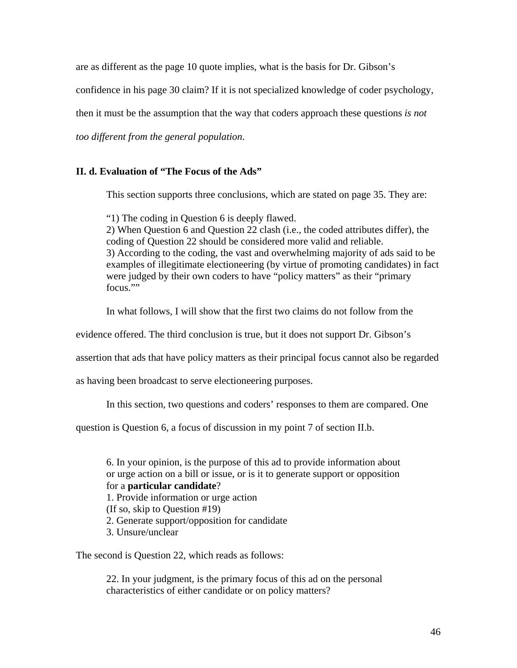are as different as the page 10 quote implies, what is the basis for Dr. Gibson's

confidence in his page 30 claim? If it is not specialized knowledge of coder psychology,

then it must be the assumption that the way that coders approach these questions *is not* 

*too different from the general population*.

### **II. d. Evaluation of "The Focus of the Ads"**

This section supports three conclusions, which are stated on page 35. They are:

"1) The coding in Question 6 is deeply flawed.

2) When Question 6 and Question 22 clash (i.e., the coded attributes differ), the coding of Question 22 should be considered more valid and reliable. 3) According to the coding, the vast and overwhelming majority of ads said to be examples of illegitimate electioneering (by virtue of promoting candidates) in fact were judged by their own coders to have "policy matters" as their "primary focus.""

In what follows, I will show that the first two claims do not follow from the

evidence offered. The third conclusion is true, but it does not support Dr. Gibson's

assertion that ads that have policy matters as their principal focus cannot also be regarded

as having been broadcast to serve electioneering purposes.

In this section, two questions and coders' responses to them are compared. One

question is Question 6, a focus of discussion in my point 7 of section II.b.

6. In your opinion, is the purpose of this ad to provide information about or urge action on a bill or issue, or is it to generate support or opposition for a **particular candidate**? 1. Provide information or urge action (If so, skip to Question #19) 2. Generate support/opposition for candidate 3. Unsure/unclear

The second is Question 22, which reads as follows:

22. In your judgment, is the primary focus of this ad on the personal characteristics of either candidate or on policy matters?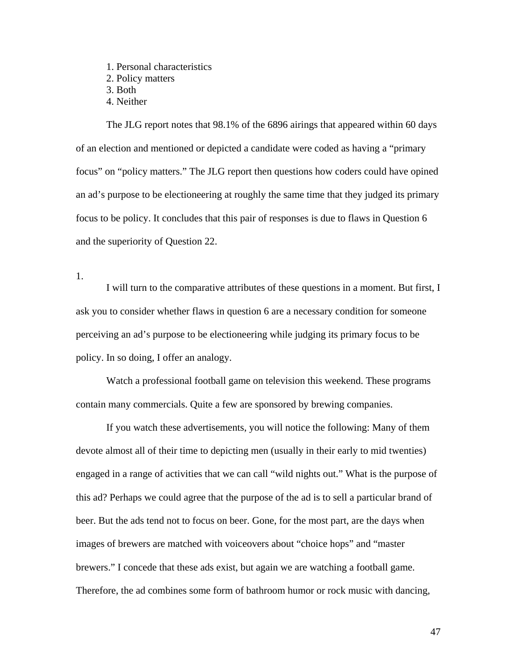1. Personal characteristics 2. Policy matters 3. Both

4. Neither

The JLG report notes that 98.1% of the 6896 airings that appeared within 60 days of an election and mentioned or depicted a candidate were coded as having a "primary focus" on "policy matters." The JLG report then questions how coders could have opined an ad's purpose to be electioneering at roughly the same time that they judged its primary focus to be policy. It concludes that this pair of responses is due to flaws in Question 6 and the superiority of Question 22.

1.

I will turn to the comparative attributes of these questions in a moment. But first, I ask you to consider whether flaws in question 6 are a necessary condition for someone perceiving an ad's purpose to be electioneering while judging its primary focus to be policy. In so doing, I offer an analogy.

Watch a professional football game on television this weekend. These programs contain many commercials. Quite a few are sponsored by brewing companies.

If you watch these advertisements, you will notice the following: Many of them devote almost all of their time to depicting men (usually in their early to mid twenties) engaged in a range of activities that we can call "wild nights out." What is the purpose of this ad? Perhaps we could agree that the purpose of the ad is to sell a particular brand of beer. But the ads tend not to focus on beer. Gone, for the most part, are the days when images of brewers are matched with voiceovers about "choice hops" and "master brewers." I concede that these ads exist, but again we are watching a football game. Therefore, the ad combines some form of bathroom humor or rock music with dancing,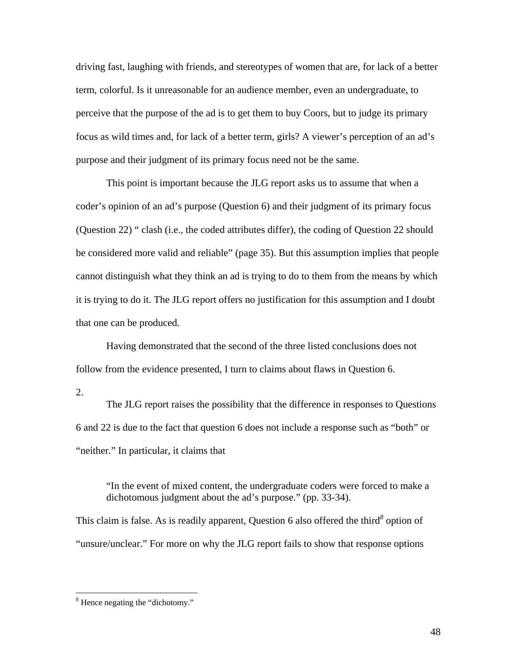driving fast, laughing with friends, and stereotypes of women that are, for lack of a better term, colorful. Is it unreasonable for an audience member, even an undergraduate, to perceive that the purpose of the ad is to get them to buy Coors, but to judge its primary focus as wild times and, for lack of a better term, girls? A viewer's perception of an ad's purpose and their judgment of its primary focus need not be the same.

This point is important because the JLG report asks us to assume that when a coder's opinion of an ad's purpose (Question 6) and their judgment of its primary focus (Question 22) " clash (i.e., the coded attributes differ), the coding of Question 22 should be considered more valid and reliable" (page 35). But this assumption implies that people cannot distinguish what they think an ad is trying to do to them from the means by which it is trying to do it. The JLG report offers no justification for this assumption and I doubt that one can be produced.

Having demonstrated that the second of the three listed conclusions does not follow from the evidence presented, I turn to claims about flaws in Question 6.

2.

<u>.</u>

The JLG report raises the possibility that the difference in responses to Questions 6 and 22 is due to the fact that question 6 does not include a response such as "both" or "neither." In particular, it claims that

"In the event of mixed content, the undergraduate coders were forced to make a dichotomous judgment about the ad's purpose." (pp. 33-34).

Thisclaim is false. As is readily apparent, Question 6 also offered the third<sup>8</sup> option of "unsure/unclear." For more on why the JLG report fails to show that response options

<span id="page-45-0"></span><sup>&</sup>lt;sup>8</sup> Hence negating the "dichotomy."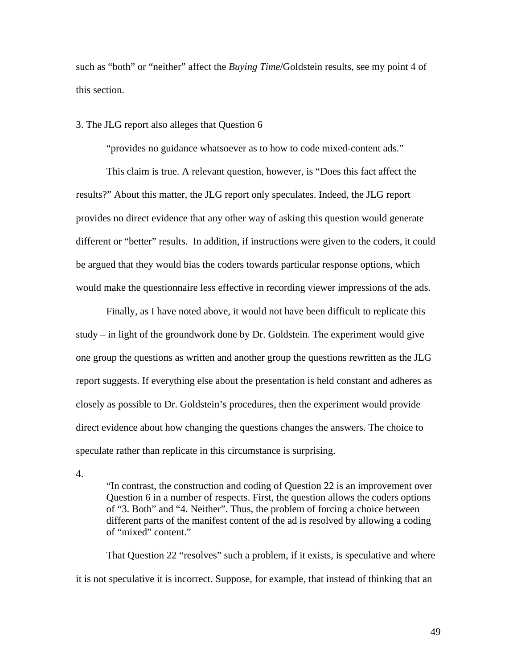such as "both" or "neither" affect the *Buying Time*/Goldstein results, see my point 4 of this section.

#### 3. The JLG report also alleges that Question 6

"provides no guidance whatsoever as to how to code mixed-content ads."

This claim is true. A relevant question, however, is "Does this fact affect the results?" About this matter, the JLG report only speculates. Indeed, the JLG report provides no direct evidence that any other way of asking this question would generate different or "better" results. In addition, if instructions were given to the coders, it could be argued that they would bias the coders towards particular response options, which would make the questionnaire less effective in recording viewer impressions of the ads.

Finally, as I have noted above, it would not have been difficult to replicate this study – in light of the groundwork done by Dr. Goldstein. The experiment would give one group the questions as written and another group the questions rewritten as the JLG report suggests. If everything else about the presentation is held constant and adheres as closely as possible to Dr. Goldstein's procedures, then the experiment would provide direct evidence about how changing the questions changes the answers. The choice to speculate rather than replicate in this circumstance is surprising.

4.

"In contrast, the construction and coding of Question 22 is an improvement over Question 6 in a number of respects. First, the question allows the coders options of "3. Both" and "4. Neither". Thus, the problem of forcing a choice between different parts of the manifest content of the ad is resolved by allowing a coding of "mixed" content."

That Question 22 "resolves" such a problem, if it exists, is speculative and where it is not speculative it is incorrect. Suppose, for example, that instead of thinking that an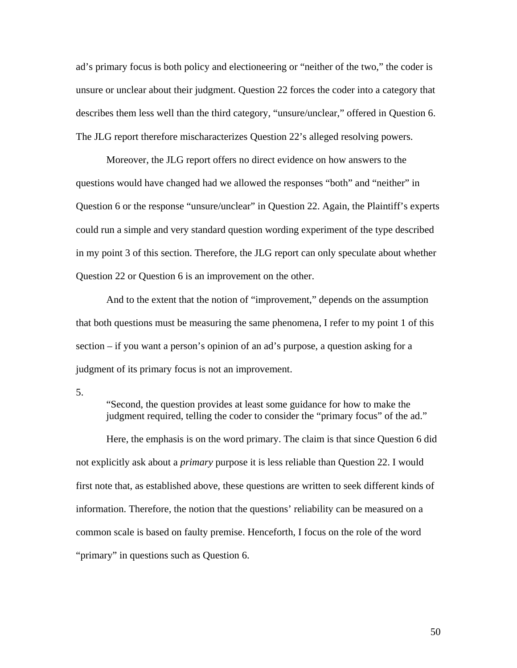ad's primary focus is both policy and electioneering or "neither of the two," the coder is unsure or unclear about their judgment. Question 22 forces the coder into a category that describes them less well than the third category, "unsure/unclear," offered in Question 6. The JLG report therefore mischaracterizes Question 22's alleged resolving powers.

Moreover, the JLG report offers no direct evidence on how answers to the questions would have changed had we allowed the responses "both" and "neither" in Question 6 or the response "unsure/unclear" in Question 22. Again, the Plaintiff's experts could run a simple and very standard question wording experiment of the type described in my point 3 of this section. Therefore, the JLG report can only speculate about whether Question 22 or Question 6 is an improvement on the other.

And to the extent that the notion of "improvement," depends on the assumption that both questions must be measuring the same phenomena, I refer to my point 1 of this section – if you want a person's opinion of an ad's purpose, a question asking for a judgment of its primary focus is not an improvement.

5.

"Second, the question provides at least some guidance for how to make the judgment required, telling the coder to consider the "primary focus" of the ad."

Here, the emphasis is on the word primary. The claim is that since Question 6 did not explicitly ask about a *primary* purpose it is less reliable than Question 22. I would first note that, as established above, these questions are written to seek different kinds of information. Therefore, the notion that the questions' reliability can be measured on a common scale is based on faulty premise. Henceforth, I focus on the role of the word "primary" in questions such as Question 6.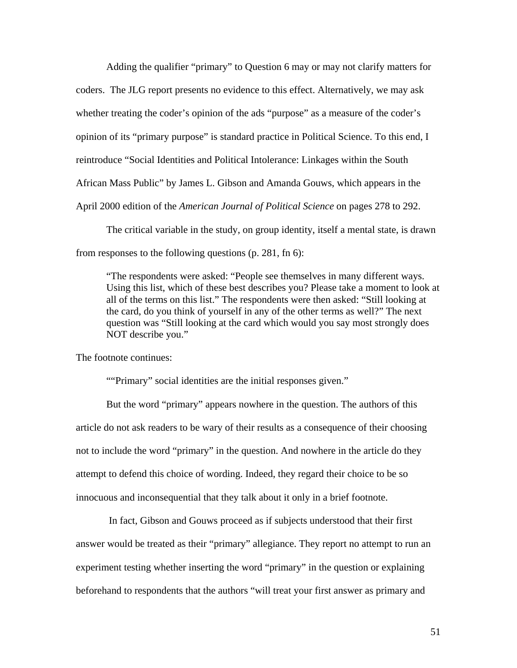Adding the qualifier "primary" to Question 6 may or may not clarify matters for coders. The JLG report presents no evidence to this effect. Alternatively, we may ask whether treating the coder's opinion of the ads "purpose" as a measure of the coder's opinion of its "primary purpose" is standard practice in Political Science. To this end, I reintroduce "Social Identities and Political Intolerance: Linkages within the South African Mass Public" by James L. Gibson and Amanda Gouws, which appears in the April 2000 edition of the *American Journal of Political Science* on pages 278 to 292.

The critical variable in the study, on group identity, itself a mental state, is drawn from responses to the following questions (p. 281, fn 6):

"The respondents were asked: "People see themselves in many different ways. Using this list, which of these best describes you? Please take a moment to look at all of the terms on this list." The respondents were then asked: "Still looking at the card, do you think of yourself in any of the other terms as well?" The next question was "Still looking at the card which would you say most strongly does NOT describe you."

The footnote continues:

""Primary" social identities are the initial responses given."

But the word "primary" appears nowhere in the question. The authors of this article do not ask readers to be wary of their results as a consequence of their choosing not to include the word "primary" in the question. And nowhere in the article do they attempt to defend this choice of wording. Indeed, they regard their choice to be so innocuous and inconsequential that they talk about it only in a brief footnote.

 In fact, Gibson and Gouws proceed as if subjects understood that their first answer would be treated as their "primary" allegiance. They report no attempt to run an experiment testing whether inserting the word "primary" in the question or explaining beforehand to respondents that the authors "will treat your first answer as primary and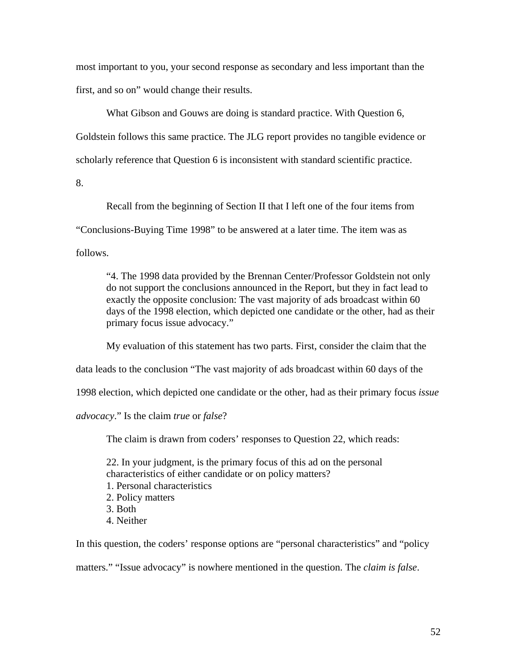most important to you, your second response as secondary and less important than the first, and so on" would change their results.

What Gibson and Gouws are doing is standard practice. With Question 6, Goldstein follows this same practice. The JLG report provides no tangible evidence or scholarly reference that Question 6 is inconsistent with standard scientific practice.

8.

Recall from the beginning of Section II that I left one of the four items from "Conclusions-Buying Time 1998" to be answered at a later time. The item was as

follows.

"4. The 1998 data provided by the Brennan Center/Professor Goldstein not only do not support the conclusions announced in the Report, but they in fact lead to exactly the opposite conclusion: The vast majority of ads broadcast within 60 days of the 1998 election, which depicted one candidate or the other, had as their primary focus issue advocacy."

My evaluation of this statement has two parts. First, consider the claim that the

data leads to the conclusion "The vast majority of ads broadcast within 60 days of the

1998 election, which depicted one candidate or the other, had as their primary focus *issue* 

*advocacy*." Is the claim *true* or *false*?

The claim is drawn from coders' responses to Question 22, which reads:

22. In your judgment, is the primary focus of this ad on the personal characteristics of either candidate or on policy matters? 1. Personal characteristics 2. Policy matters

- 3. Both
- 4. Neither

In this question, the coders' response options are "personal characteristics" and "policy matters." "Issue advocacy" is nowhere mentioned in the question. The *claim is false*.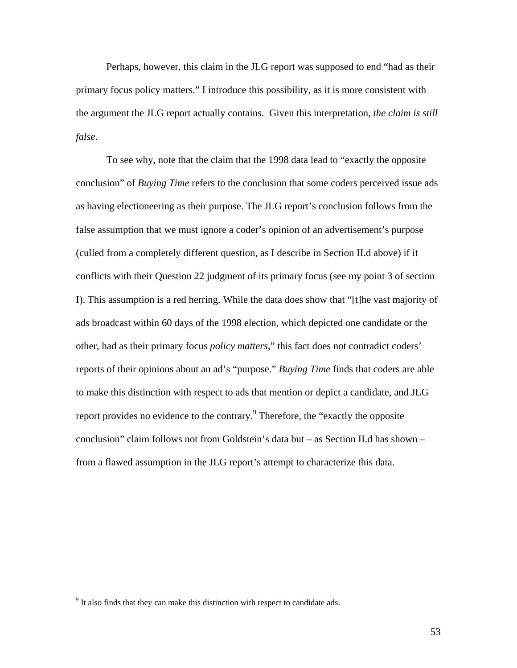Perhaps, however, this claim in the JLG report was supposed to end "had as their primary focus policy matters." I introduce this possibility, as it is more consistent with the argument the JLG report actually contains. Given this interpretation, *the claim is still false*.

To see why, note that the claim that the 1998 data lead to "exactly the opposite conclusion" of *Buying Time* refers to the conclusion that some coders perceived issue ads as having electioneering as their purpose. The JLG report's conclusion follows from the false assumption that we must ignore a coder's opinion of an advertisement's purpose (culled from a completely different question, as I describe in Section II.d above) if it conflicts with their Question 22 judgment of its primary focus (see my point 3 of section I). This assumption is a red herring. While the data does show that "[t]he vast majority of ads broadcast within 60 days of the 1998 election, which depicted one candidate or the other, had as their primary focus *policy matters*," this fact does not contradict coders' reports of their opinions about an ad's "purpose." *Buying Time* finds that coders are able to make this distinction with respect to ads that mention or depict a candidate, and JLG report provides no evidence to the contrary.<sup>[9](#page-50-0)</sup> Therefore, the "exactly the opposite" conclusion" claim follows not from Goldstein's data but – as Section II.d has shown – from a flawed assumption in the JLG report's attempt to characterize this data.

 $\overline{a}$ 

<span id="page-50-0"></span> $9<sup>9</sup>$  It also finds that they can make this distinction with respect to candidate ads.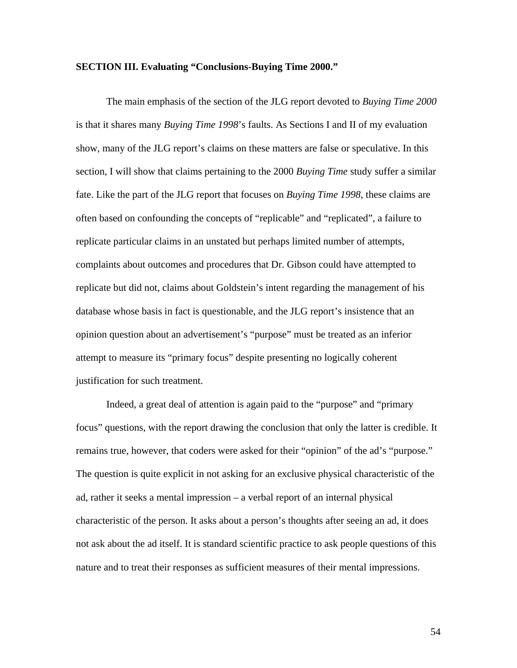#### **SECTION III. Evaluating "Conclusions-Buying Time 2000."**

The main emphasis of the section of the JLG report devoted to *Buying Time 2000* is that it shares many *Buying Time 1998*'s faults. As Sections I and II of my evaluation show, many of the JLG report's claims on these matters are false or speculative. In this section, I will show that claims pertaining to the 2000 *Buying Time* study suffer a similar fate. Like the part of the JLG report that focuses on *Buying Time 1998*, these claims are often based on confounding the concepts of "replicable" and "replicated", a failure to replicate particular claims in an unstated but perhaps limited number of attempts, complaints about outcomes and procedures that Dr. Gibson could have attempted to replicate but did not, claims about Goldstein's intent regarding the management of his database whose basis in fact is questionable, and the JLG report's insistence that an opinion question about an advertisement's "purpose" must be treated as an inferior attempt to measure its "primary focus" despite presenting no logically coherent justification for such treatment.

Indeed, a great deal of attention is again paid to the "purpose" and "primary focus" questions, with the report drawing the conclusion that only the latter is credible. It remains true, however, that coders were asked for their "opinion" of the ad's "purpose." The question is quite explicit in not asking for an exclusive physical characteristic of the ad, rather it seeks a mental impression – a verbal report of an internal physical characteristic of the person. It asks about a person's thoughts after seeing an ad, it does not ask about the ad itself. It is standard scientific practice to ask people questions of this nature and to treat their responses as sufficient measures of their mental impressions.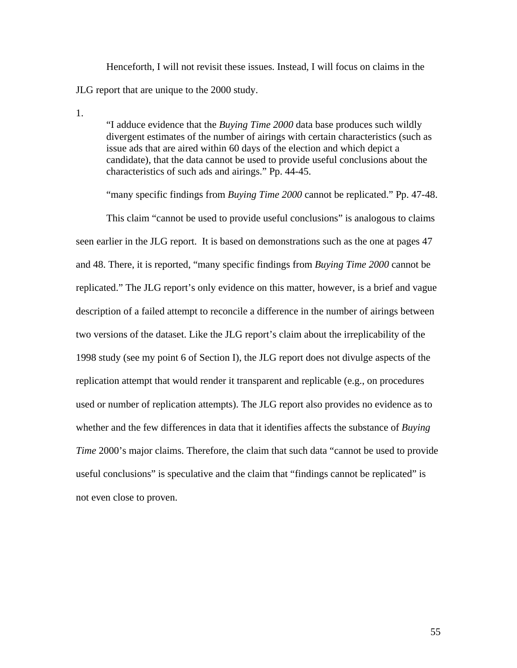Henceforth, I will not revisit these issues. Instead, I will focus on claims in the JLG report that are unique to the 2000 study.

1.

"I adduce evidence that the *Buying Time 2000* data base produces such wildly divergent estimates of the number of airings with certain characteristics (such as issue ads that are aired within 60 days of the election and which depict a candidate), that the data cannot be used to provide useful conclusions about the characteristics of such ads and airings." Pp. 44-45.

"many specific findings from *Buying Time 2000* cannot be replicated." Pp. 47-48. This claim "cannot be used to provide useful conclusions" is analogous to claims seen earlier in the JLG report. It is based on demonstrations such as the one at pages 47 and 48. There, it is reported, "many specific findings from *Buying Time 2000* cannot be replicated." The JLG report's only evidence on this matter, however, is a brief and vague description of a failed attempt to reconcile a difference in the number of airings between two versions of the dataset. Like the JLG report's claim about the irreplicability of the 1998 study (see my point 6 of Section I), the JLG report does not divulge aspects of the replication attempt that would render it transparent and replicable (e.g., on procedures used or number of replication attempts). The JLG report also provides no evidence as to whether and the few differences in data that it identifies affects the substance of *Buying Time* 2000's major claims. Therefore, the claim that such data "cannot be used to provide" useful conclusions" is speculative and the claim that "findings cannot be replicated" is not even close to proven.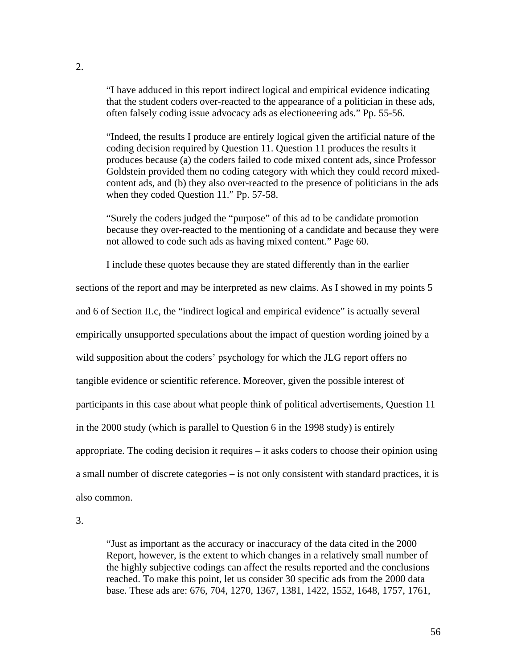"I have adduced in this report indirect logical and empirical evidence indicating that the student coders over-reacted to the appearance of a politician in these ads, often falsely coding issue advocacy ads as electioneering ads." Pp. 55-56.

"Indeed, the results I produce are entirely logical given the artificial nature of the coding decision required by Question 11. Question 11 produces the results it produces because (a) the coders failed to code mixed content ads, since Professor Goldstein provided them no coding category with which they could record mixedcontent ads, and (b) they also over-reacted to the presence of politicians in the ads when they coded Question 11." Pp. 57-58.

"Surely the coders judged the "purpose" of this ad to be candidate promotion because they over-reacted to the mentioning of a candidate and because they were not allowed to code such ads as having mixed content." Page 60.

I include these quotes because they are stated differently than in the earlier

sections of the report and may be interpreted as new claims. As I showed in my points 5 and 6 of Section II.c, the "indirect logical and empirical evidence" is actually several empirically unsupported speculations about the impact of question wording joined by a wild supposition about the coders' psychology for which the JLG report offers no tangible evidence or scientific reference. Moreover, given the possible interest of participants in this case about what people think of political advertisements, Question 11 in the 2000 study (which is parallel to Question 6 in the 1998 study) is entirely appropriate. The coding decision it requires – it asks coders to choose their opinion using a small number of discrete categories – is not only consistent with standard practices, it is also common.

3.

"Just as important as the accuracy or inaccuracy of the data cited in the 2000 Report, however, is the extent to which changes in a relatively small number of the highly subjective codings can affect the results reported and the conclusions reached. To make this point, let us consider 30 specific ads from the 2000 data base. These ads are: 676, 704, 1270, 1367, 1381, 1422, 1552, 1648, 1757, 1761,

2.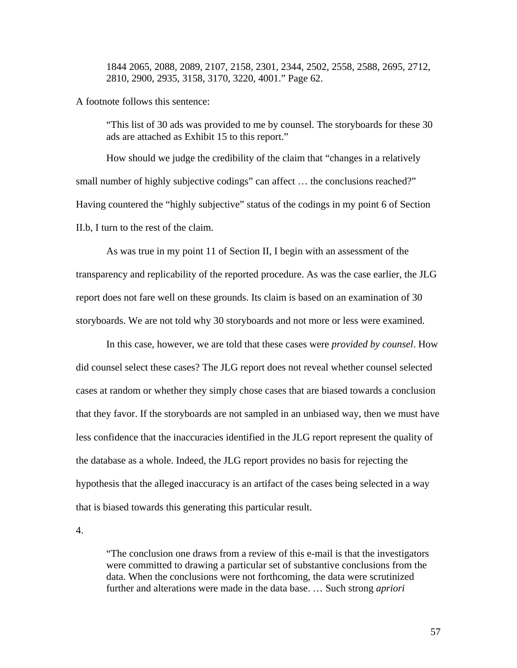1844 2065, 2088, 2089, 2107, 2158, 2301, 2344, 2502, 2558, 2588, 2695, 2712, 2810, 2900, 2935, 3158, 3170, 3220, 4001." Page 62.

A footnote follows this sentence:

"This list of 30 ads was provided to me by counsel. The storyboards for these 30 ads are attached as Exhibit 15 to this report."

How should we judge the credibility of the claim that "changes in a relatively small number of highly subjective codings" can affect ... the conclusions reached?" Having countered the "highly subjective" status of the codings in my point 6 of Section II.b, I turn to the rest of the claim.

As was true in my point 11 of Section II, I begin with an assessment of the transparency and replicability of the reported procedure. As was the case earlier, the JLG report does not fare well on these grounds. Its claim is based on an examination of 30 storyboards. We are not told why 30 storyboards and not more or less were examined.

In this case, however, we are told that these cases were *provided by counsel*. How did counsel select these cases? The JLG report does not reveal whether counsel selected cases at random or whether they simply chose cases that are biased towards a conclusion that they favor. If the storyboards are not sampled in an unbiased way, then we must have less confidence that the inaccuracies identified in the JLG report represent the quality of the database as a whole. Indeed, the JLG report provides no basis for rejecting the hypothesis that the alleged inaccuracy is an artifact of the cases being selected in a way that is biased towards this generating this particular result.

4.

"The conclusion one draws from a review of this e-mail is that the investigators were committed to drawing a particular set of substantive conclusions from the data. When the conclusions were not forthcoming, the data were scrutinized further and alterations were made in the data base. … Such strong *apriori*